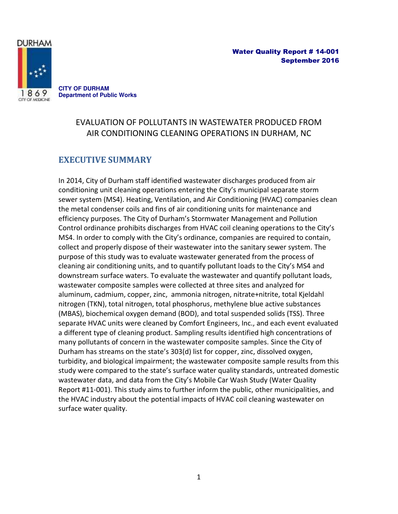

**CITY OF DURHAM Department of Public Works**

# EVALUATION OF POLLUTANTS IN WASTEWATER PRODUCED FROM AIR CONDITIONING CLEANING OPERATIONS IN DURHAM, NC

# <span id="page-0-0"></span>**EXECUTIVE SUMMARY**

In 2014, City of Durham staff identified wastewater discharges produced from air conditioning unit cleaning operations entering the City's municipal separate storm sewer system (MS4). Heating, Ventilation, and Air Conditioning (HVAC) companies clean the metal condenser coils and fins of air conditioning units for maintenance and efficiency purposes. The City of Durham's Stormwater Management and Pollution Control ordinance prohibits discharges from HVAC coil cleaning operations to the City's MS4. In order to comply with the City's ordinance, companies are required to contain, collect and properly dispose of their wastewater into the sanitary sewer system. The purpose of this study was to evaluate wastewater generated from the process of cleaning air conditioning units, and to quantify pollutant loads to the City's MS4 and downstream surface waters. To evaluate the wastewater and quantify pollutant loads, wastewater composite samples were collected at three sites and analyzed for aluminum, cadmium, copper, zinc, ammonia nitrogen, nitrate+nitrite, total Kjeldahl nitrogen (TKN), total nitrogen, total phosphorus, methylene blue active substances (MBAS), biochemical oxygen demand (BOD), and total suspended solids (TSS). Three separate HVAC units were cleaned by Comfort Engineers, Inc., and each event evaluated a different type of cleaning product. Sampling results identified high concentrations of many pollutants of concern in the wastewater composite samples. Since the City of Durham has streams on the state's 303(d) list for copper, zinc, dissolved oxygen, turbidity, and biological impairment; the wastewater composite sample results from this study were compared to the state's surface water quality standards, untreated domestic wastewater data, and data from the City's Mobile Car Wash Study (Water Quality Report #11-001). This study aims to further inform the public, other municipalities, and the HVAC industry about the potential impacts of HVAC coil cleaning wastewater on surface water quality.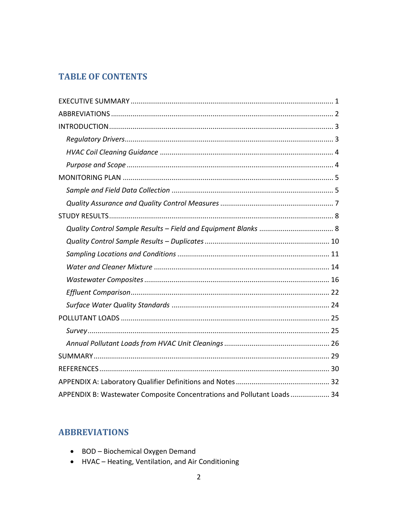# **TABLE OF CONTENTS**

| APPENDIX B: Wastewater Composite Concentrations and Pollutant Loads  34 |  |
|-------------------------------------------------------------------------|--|

# <span id="page-1-0"></span>**ABBREVIATIONS**

- BOD Biochemical Oxygen Demand
- HVAC Heating, Ventilation, and Air Conditioning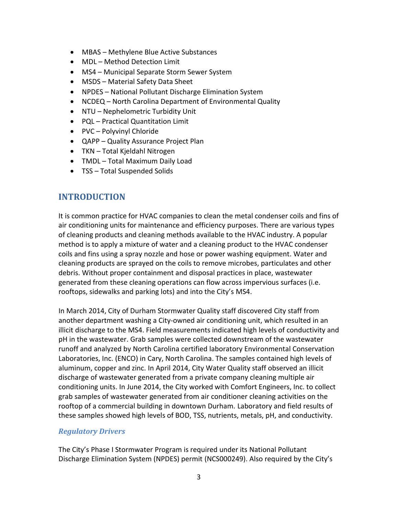- MBAS Methylene Blue Active Substances
- MDL Method Detection Limit
- MS4 Municipal Separate Storm Sewer System
- MSDS Material Safety Data Sheet
- NPDES National Pollutant Discharge Elimination System
- NCDEQ North Carolina Department of Environmental Quality
- NTU Nephelometric Turbidity Unit
- PQL Practical Quantitation Limit
- PVC Polyvinyl Chloride
- QAPP Quality Assurance Project Plan
- TKN Total Kjeldahl Nitrogen
- TMDL Total Maximum Daily Load
- <span id="page-2-0"></span>TSS – Total Suspended Solids

# **INTRODUCTION**

It is common practice for HVAC companies to clean the metal condenser coils and fins of air conditioning units for maintenance and efficiency purposes. There are various types of cleaning products and cleaning methods available to the HVAC industry. A popular method is to apply a mixture of water and a cleaning product to the HVAC condenser coils and fins using a spray nozzle and hose or power washing equipment. Water and cleaning products are sprayed on the coils to remove microbes, particulates and other debris. Without proper containment and disposal practices in place, wastewater generated from these cleaning operations can flow across impervious surfaces (i.e. rooftops, sidewalks and parking lots) and into the City's MS4.

In March 2014, City of Durham Stormwater Quality staff discovered City staff from another department washing a City-owned air conditioning unit, which resulted in an illicit discharge to the MS4. Field measurements indicated high levels of conductivity and pH in the wastewater. Grab samples were collected downstream of the wastewater runoff and analyzed by North Carolina certified laboratory Environmental Conservation Laboratories, Inc. (ENCO) in Cary, North Carolina. The samples contained high levels of aluminum, copper and zinc. In April 2014, City Water Quality staff observed an illicit discharge of wastewater generated from a private company cleaning multiple air conditioning units. In June 2014, the City worked with Comfort Engineers, Inc. to collect grab samples of wastewater generated from air conditioner cleaning activities on the rooftop of a commercial building in downtown Durham. Laboratory and field results of these samples showed high levels of BOD, TSS, nutrients, metals, pH, and conductivity.

### <span id="page-2-1"></span>*Regulatory Drivers*

The City's Phase I Stormwater Program is required under its National Pollutant Discharge Elimination System (NPDES) permit (NCS000249). Also required by the City's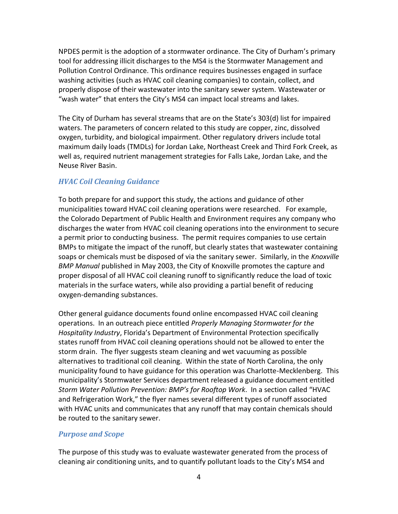NPDES permit is the adoption of a stormwater ordinance. The City of Durham's primary tool for addressing illicit discharges to the MS4 is the Stormwater Management and Pollution Control Ordinance. This ordinance requires businesses engaged in surface washing activities (such as HVAC coil cleaning companies) to contain, collect, and properly dispose of their wastewater into the sanitary sewer system. Wastewater or "wash water" that enters the City's MS4 can impact local streams and lakes.

The City of Durham has several streams that are on the State's 303(d) list for impaired waters. The parameters of concern related to this study are copper, zinc, dissolved oxygen, turbidity, and biological impairment. Other regulatory drivers include total maximum daily loads (TMDLs) for Jordan Lake, Northeast Creek and Third Fork Creek, as well as, required nutrient management strategies for Falls Lake, Jordan Lake, and the Neuse River Basin.

#### <span id="page-3-0"></span>*HVAC Coil Cleaning Guidance*

To both prepare for and support this study, the actions and guidance of other municipalities toward HVAC coil cleaning operations were researched. For example, the Colorado Department of Public Health and Environment requires any company who discharges the water from HVAC coil cleaning operations into the environment to secure a permit prior to conducting business. The permit requires companies to use certain BMPs to mitigate the impact of the runoff, but clearly states that wastewater containing soaps or chemicals must be disposed of via the sanitary sewer. Similarly, in the *Knoxville BMP Manual* published in May 2003, the City of Knoxville promotes the capture and proper disposal of all HVAC coil cleaning runoff to significantly reduce the load of toxic materials in the surface waters, while also providing a partial benefit of reducing oxygen-demanding substances.

Other general guidance documents found online encompassed HVAC coil cleaning operations. In an outreach piece entitled *Properly Managing Stormwater for the Hospitality Industry*, Florida's Department of Environmental Protection specifically states runoff from HVAC coil cleaning operations should not be allowed to enter the storm drain. The flyer suggests steam cleaning and wet vacuuming as possible alternatives to traditional coil cleaning. Within the state of North Carolina, the only municipality found to have guidance for this operation was Charlotte-Mecklenberg. This municipality's Stormwater Services department released a guidance document entitled *Storm Water Pollution Prevention: BMP's for Rooftop Work.* In a section called "HVAC and Refrigeration Work," the flyer names several different types of runoff associated with HVAC units and communicates that any runoff that may contain chemicals should be routed to the sanitary sewer.

#### <span id="page-3-1"></span>*Purpose and Scope*

The purpose of this study was to evaluate wastewater generated from the process of cleaning air conditioning units, and to quantify pollutant loads to the City's MS4 and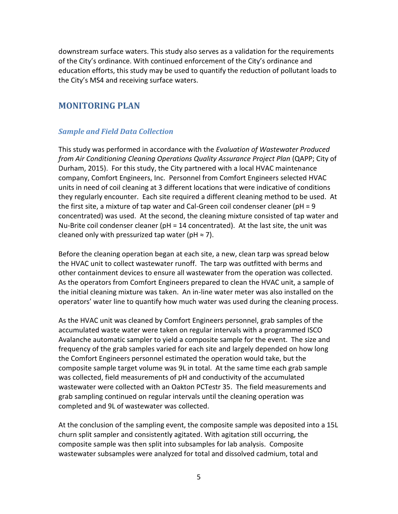downstream surface waters. This study also serves as a validation for the requirements of the City's ordinance. With continued enforcement of the City's ordinance and education efforts, this study may be used to quantify the reduction of pollutant loads to the City's MS4 and receiving surface waters.

### <span id="page-4-0"></span>**MONITORING PLAN**

#### <span id="page-4-1"></span>*Sample and Field Data Collection*

This study was performed in accordance with the *Evaluation of Wastewater Produced from Air Conditioning Cleaning Operations Quality Assurance Project Plan (QAPP; City of* Durham, 2015). For this study, the City partnered with a local HVAC maintenance company, Comfort Engineers, Inc. Personnel from Comfort Engineers selected HVAC units in need of coil cleaning at 3 different locations that were indicative of conditions they regularly encounter. Each site required a different cleaning method to be used. At the first site, a mixture of tap water and Cal-Green coil condenser cleaner (pH = 9 concentrated) was used. At the second, the cleaning mixture consisted of tap water and Nu-Brite coil condenser cleaner (pH = 14 concentrated). At the last site, the unit was cleaned only with pressurized tap water (pH  $\approx$  7).

Before the cleaning operation began at each site, a new, clean tarp was spread below the HVAC unit to collect wastewater runoff. The tarp was outfitted with berms and other containment devices to ensure all wastewater from the operation was collected. As the operators from Comfort Engineers prepared to clean the HVAC unit, a sample of the initial cleaning mixture was taken. An in-line water meter was also installed on the operators' water line to quantify how much water was used during the cleaning process.

As the HVAC unit was cleaned by Comfort Engineers personnel, grab samples of the accumulated waste water were taken on regular intervals with a programmed ISCO Avalanche automatic sampler to yield a composite sample for the event. The size and frequency of the grab samples varied for each site and largely depended on how long the Comfort Engineers personnel estimated the operation would take, but the composite sample target volume was 9L in total. At the same time each grab sample was collected, field measurements of pH and conductivity of the accumulated wastewater were collected with an Oakton PCTestr 35. The field measurements and grab sampling continued on regular intervals until the cleaning operation was completed and 9L of wastewater was collected.

At the conclusion of the sampling event, the composite sample was deposited into a 15L churn split sampler and consistently agitated. With agitation still occurring, the composite sample was then split into subsamples for lab analysis. Composite wastewater subsamples were analyzed for total and dissolved cadmium, total and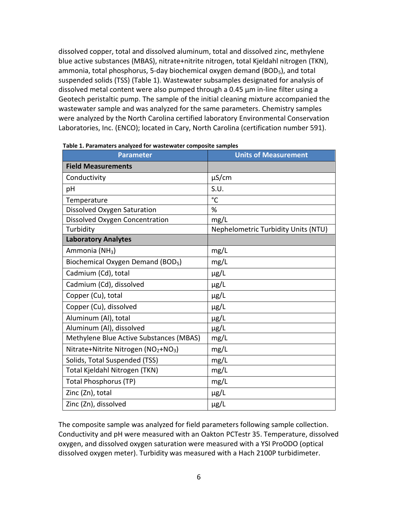dissolved copper, total and dissolved aluminum, total and dissolved zinc, methylene blue active substances (MBAS), nitrate+nitrite nitrogen, total Kjeldahl nitrogen (TKN), ammonia, total phosphorus, 5-day biochemical oxygen demand (BOD<sub>5</sub>), and total suspended solids (TSS) (Table 1). Wastewater subsamples designated for analysis of dissolved metal content were also pumped through a 0.45 µm in-line filter using a Geotech peristaltic pump. The sample of the initial cleaning mixture accompanied the wastewater sample and was analyzed for the same parameters. Chemistry samples were analyzed by the North Carolina certified laboratory Environmental Conservation Laboratories, Inc. (ENCO); located in Cary, North Carolina (certification number 591).

| <b>Parameter</b>                                             | <b>Units of Measurement</b>         |
|--------------------------------------------------------------|-------------------------------------|
| <b>Field Measurements</b>                                    |                                     |
| Conductivity                                                 | $\mu$ S/cm                          |
| pH                                                           | S.U.                                |
| Temperature                                                  | $^{\circ}$ C                        |
| Dissolved Oxygen Saturation                                  | %                                   |
| Dissolved Oxygen Concentration                               | mg/L                                |
| Turbidity                                                    | Nephelometric Turbidity Units (NTU) |
| <b>Laboratory Analytes</b>                                   |                                     |
| Ammonia (NH <sub>3</sub> )                                   | mg/L                                |
| Biochemical Oxygen Demand (BOD <sub>5</sub> )                | mg/L                                |
| Cadmium (Cd), total                                          | $\mu$ g/L                           |
| Cadmium (Cd), dissolved                                      | µg/L                                |
| Copper (Cu), total                                           | $\mu$ g/L                           |
| Copper (Cu), dissolved                                       | $\mu$ g/L                           |
| Aluminum (Al), total                                         | $\mu$ g/L                           |
| Aluminum (Al), dissolved                                     | $\mu$ g/L                           |
| Methylene Blue Active Substances (MBAS)                      | mg/L                                |
| Nitrate+Nitrite Nitrogen (NO <sub>2</sub> +NO <sub>3</sub> ) | mg/L                                |
| Solids, Total Suspended (TSS)                                | mg/L                                |
| Total Kjeldahl Nitrogen (TKN)                                | mg/L                                |
| <b>Total Phosphorus (TP)</b>                                 | mg/L                                |
| Zinc (Zn), total                                             | $\mu$ g/L                           |
| Zinc (Zn), dissolved                                         | $\mu$ g/L                           |

| Table 1. Paramaters analyzed for wastewater composite samples |
|---------------------------------------------------------------|
|                                                               |

The composite sample was analyzed for field parameters following sample collection. Conductivity and pH were measured with an Oakton PCTestr 35. Temperature, dissolved oxygen, and dissolved oxygen saturation were measured with a YSI ProODO (optical dissolved oxygen meter). Turbidity was measured with a Hach 2100P turbidimeter.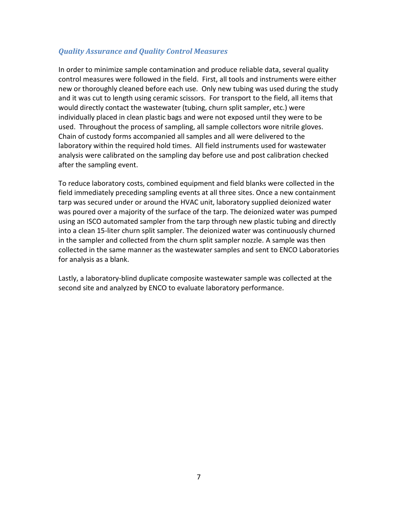### <span id="page-6-0"></span>*Quality Assurance and Quality Control Measures*

In order to minimize sample contamination and produce reliable data, several quality control measures were followed in the field. First, all tools and instruments were either new or thoroughly cleaned before each use. Only new tubing was used during the study and it was cut to length using ceramic scissors. For transport to the field, all items that would directly contact the wastewater (tubing, churn split sampler, etc.) were individually placed in clean plastic bags and were not exposed until they were to be used. Throughout the process of sampling, all sample collectors wore nitrile gloves. Chain of custody forms accompanied all samples and all were delivered to the laboratory within the required hold times. All field instruments used for wastewater analysis were calibrated on the sampling day before use and post calibration checked after the sampling event.

To reduce laboratory costs, combined equipment and field blanks were collected in the field immediately preceding sampling events at all three sites. Once a new containment tarp was secured under or around the HVAC unit, laboratory supplied deionized water was poured over a majority of the surface of the tarp. The deionized water was pumped using an ISCO automated sampler from the tarp through new plastic tubing and directly into a clean 15-liter churn split sampler. The deionized water was continuously churned in the sampler and collected from the churn split sampler nozzle. A sample was then collected in the same manner as the wastewater samples and sent to ENCO Laboratories for analysis as a blank.

Lastly, a laboratory-blind duplicate composite wastewater sample was collected at the second site and analyzed by ENCO to evaluate laboratory performance.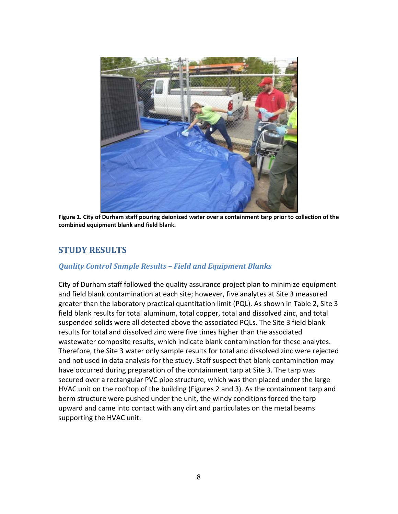

**Figure 1. City of Durham staff pouring deionized water over a containment tarp prior to collection of the combined equipment blank and field blank.** 

# <span id="page-7-0"></span>**STUDY RESULTS**

### <span id="page-7-1"></span>*Quality Control Sample Results – Field and Equipment Blanks*

City of Durham staff followed the quality assurance project plan to minimize equipment and field blank contamination at each site; however, five analytes at Site 3 measured greater than the laboratory practical quantitation limit (PQL). As shown in Table 2, Site 3 field blank results for total aluminum, total copper, total and dissolved zinc, and total suspended solids were all detected above the associated PQLs. The Site 3 field blank results for total and dissolved zinc were five times higher than the associated wastewater composite results, which indicate blank contamination for these analytes. Therefore, the Site 3 water only sample results for total and dissolved zinc were rejected and not used in data analysis for the study. Staff suspect that blank contamination may have occurred during preparation of the containment tarp at Site 3. The tarp was secured over a rectangular PVC pipe structure, which was then placed under the large HVAC unit on the rooftop of the building (Figures 2 and 3). As the containment tarp and berm structure were pushed under the unit, the windy conditions forced the tarp upward and came into contact with any dirt and particulates on the metal beams supporting the HVAC unit.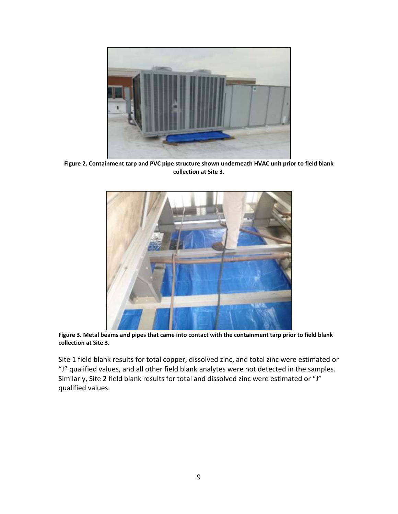

**Figure 2. Containment tarp and PVC pipe structure shown underneath HVAC unit prior to field blank collection at Site 3.** 



**Figure 3. Metal beams and pipes that came into contact with the containment tarp prior to field blank collection at Site 3.**

Site 1 field blank results for total copper, dissolved zinc, and total zinc were estimated or "J" qualified values, and all other field blank analytes were not detected in the samples. Similarly, Site 2 field blank results for total and dissolved zinc were estimated or "J" qualified values.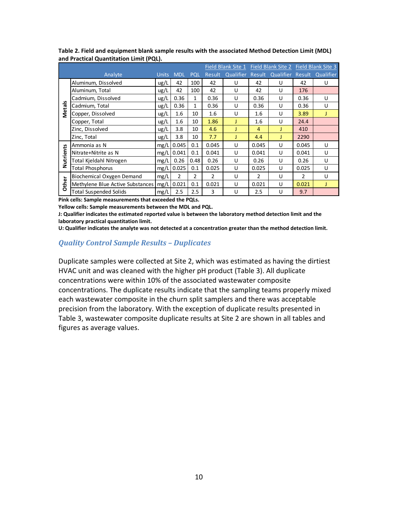|          |                                         |              |                |                |                | Field Blank Site 1 Field Blank Site 2 Field Blank Site 3 |                |                                             |       |   |
|----------|-----------------------------------------|--------------|----------------|----------------|----------------|----------------------------------------------------------|----------------|---------------------------------------------|-------|---|
|          | Analyte                                 | <b>Units</b> | <b>MDL</b>     | <b>PQL</b>     | Result         |                                                          |                | Qualifier Result Qualifier Result Qualifier |       |   |
|          | Aluminum, Dissolved                     | ug/L         | 42             | 100            | 42             | U                                                        | 42             | U                                           | 42    | U |
|          | Aluminum, Total                         | ug/L         | 42             | 100            | 42             | U                                                        | 42             | U                                           | 176   |   |
|          | Cadmium, Dissolved                      | ug/L         | 0.36           | 1              | 0.36           | U                                                        | 0.36           | U                                           | 0.36  | U |
| Metals   | Cadmium, Total                          | $ug/L$       | 0.36           | 1              | 0.36           | U                                                        | 0.36           | U                                           | 0.36  | U |
|          | Copper, Dissolved                       | ug/L         | 1.6            | 10             | 1.6            | U                                                        | 1.6            | U                                           | 3.89  | J |
|          | Copper, Total                           | ug/L         | 1.6            | 10             | 1.86           |                                                          | 1.6            | U                                           | 24.4  |   |
|          | Zinc, Dissolved                         | $ug/L$       | 3.8            | 10             | 4.6            |                                                          | $\overline{4}$ |                                             | 410   |   |
|          | Zinc, Total                             | ug/L         | 3.8            | 10             | 7.7            |                                                          | 4.4            |                                             | 2290  |   |
|          | Ammonia as N                            | mg/L         | 0.045          | 0.1            | 0.045          | U                                                        | 0.045          | U                                           | 0.045 | U |
| utrients | Nitrate+Nitrite as N                    | mg/L         | 0.041          | 0.1            | 0.041          | U                                                        | 0.041          | U                                           | 0.041 | U |
|          | Total Kjeldahl Nitrogen                 | mg/L         | 0.26           | 0.48           | 0.26           | U                                                        | 0.26           | U                                           | 0.26  | U |
| z        | <b>Total Phosphorus</b>                 | mg/L         | 0.025          | 0.1            | 0.025          | U                                                        | 0.025          | U                                           | 0.025 | U |
|          | Biochemical Oxygen Demand               | mg/L         | $\overline{2}$ | $\overline{2}$ | $\overline{2}$ | U                                                        | $\overline{2}$ | U                                           | 2     | U |
| Other    | Methylene Blue Active Substances   mg/L |              | 0.021          | 0.1            | 0.021          | U                                                        | 0.021          | U                                           | 0.021 | Т |
|          | <b>Total Suspended Solids</b>           | mg/L         | 2.5            | 2.5            | 3              | U                                                        | 2.5            | U                                           | 9.7   |   |

**Table 2. Field and equipment blank sample results with the associated Method Detection Limit (MDL) and Practical Quantitation Limit (PQL).** 

**Pink cells: Sample measurements that exceeded the PQLs.** 

**Yellow cells: Sample measurements between the MDL and PQL.** 

**J: Qualifier indicates the estimated reported value is between the laboratory method detection limit and the laboratory practical quantitation limit.** 

<span id="page-9-0"></span>**U: Qualifier indicates the analyte was not detected at a concentration greater than the method detection limit.**

#### *Quality Control Sample Results – Duplicates*

Duplicate samples were collected at Site 2, which was estimated as having the dirtiest HVAC unit and was cleaned with the higher pH product (Table 3). All duplicate concentrations were within 10% of the associated wastewater composite concentrations. The duplicate results indicate that the sampling teams properly mixed each wastewater composite in the churn split samplers and there was acceptable precision from the laboratory. With the exception of duplicate results presented in Table 3, wastewater composite duplicate results at Site 2 are shown in all tables and figures as average values.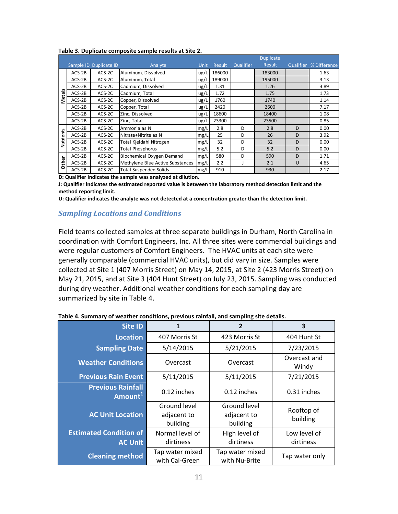|                    |          |                        |                                  |      |        |           | <b>Duplicate</b> |   |                        |
|--------------------|----------|------------------------|----------------------------------|------|--------|-----------|------------------|---|------------------------|
|                    |          | Sample ID Duplicate ID | Analyte                          | Unit | Result | Qualifier | Result           |   | Qualifier % Difference |
|                    | $ACS-2B$ | ACS-2C                 | Aluminum, Dissolved              | ug/L | 186000 |           | 183000           |   | 1.63                   |
|                    | $ACS-2B$ | ACS-2C                 | Aluminum, Total                  | ug/L | 189000 |           | 195000           |   | 3.13                   |
| S                  | $ACS-2B$ | ACS-2C                 | Cadmium, Dissolved               | ug/L | 1.31   |           | 1.26             |   | 3.89                   |
|                    | $ACS-2B$ | ACS-2C                 | Cadmium, Total                   | ug/L | 1.72   |           | 1.75             |   | 1.73                   |
| Metal <sub>s</sub> | $ACS-2B$ | ACS-2C                 | Copper, Dissolved                | ug/L | 1760   |           | 1740             |   | 1.14                   |
|                    | $ACS-2B$ | ACS-2C                 | Copper, Total                    | ug/L | 2420   |           | 2600             |   | 7.17                   |
|                    | $ACS-2B$ | ACS-2C                 | Zinc, Dissolved                  | ug/L | 18600  |           | 18400            |   | 1.08                   |
|                    | $ACS-2B$ | ACS-2C                 | Zinc, Total                      | ug/L | 23300  |           | 23500            |   | 0.85                   |
|                    | $ACS-2B$ | ACS-2C                 | Ammonia as N                     | mg/L | 2.8    | D         | 2.8              | D | 0.00                   |
|                    | $ACS-2B$ | ACS-2C                 | Nitrate+Nitrite as N             | mg/L | 25     | D         | 26               | D | 3.92                   |
| Nutrients          | $ACS-2B$ | ACS-2C                 | Total Kjeldahl Nitrogen          | mg/L | 32     | D         | 32               | D | 0.00                   |
|                    | $ACS-2B$ | ACS-2C                 | <b>Total Phosphorus</b>          | mg/L | 5.2    | D         | 5.2              | D | 0.00                   |
|                    | $ACS-2B$ | ACS-2C                 | Biochemical Oxygen Demand        | mg/L | 580    | D         | 590              | D | 1.71                   |
| <b>Other</b>       | $ACS-2B$ | ACS-2C                 | Methylene Blue Active Substances | mg/L | 2.2    |           | 2.1              | U | 4.65                   |
|                    | $ACS-2B$ | ACS-2C                 | <b>Total Suspended Solids</b>    | mg/L | 910    |           | 930              |   | 2.17                   |

**Table 3. Duplicate composite sample results at Site 2.**

**D: Qualifier indicates the sample was analyzed at dilution.** 

**J: Qualifier indicates the estimated reported value is between the laboratory method detection limit and the method reporting limit.** 

<span id="page-10-0"></span>**U: Qualifier indicates the analyte was not detected at a concentration greater than the detection limit.**

#### *Sampling Locations and Conditions*

Field teams collected samples at three separate buildings in Durham, North Carolina in coordination with Comfort Engineers, Inc. All three sites were commercial buildings and were regular customers of Comfort Engineers. The HVAC units at each site were generally comparable (commercial HVAC units), but did vary in size. Samples were collected at Site 1 (407 Morris Street) on May 14, 2015, at Site 2 (423 Morris Street) on May 21, 2015, and at Site 3 (404 Hunt Street) on July 23, 2015. Sampling was conducted during dry weather. Additional weather conditions for each sampling day are summarized by site in Table 4.

| <b>Site ID</b>                                  | 1                                       | $\overline{2}$                          | 3                         |
|-------------------------------------------------|-----------------------------------------|-----------------------------------------|---------------------------|
| <b>Location</b>                                 | 407 Morris St                           | 423 Morris St                           | 404 Hunt St               |
| <b>Sampling Date</b>                            | 5/14/2015                               | 5/21/2015                               | 7/23/2015                 |
| <b>Weather Conditions</b>                       | Overcast                                | Overcast                                | Overcast and<br>Windy     |
| <b>Previous Rain Event</b>                      | 5/11/2015                               | 5/11/2015                               | 7/21/2015                 |
| <b>Previous Rainfall</b><br>Amount $^1$         | 0.12 inches                             | 0.12 inches                             | 0.31 inches               |
| <b>AC Unit Location</b>                         | Ground level<br>adjacent to<br>building | Ground level<br>adjacent to<br>building | Rooftop of<br>building    |
| <b>Estimated Condition of</b><br><b>AC Unit</b> | Normal level of<br>dirtiness            | High level of<br>dirtiness              | Low level of<br>dirtiness |
| <b>Cleaning method</b>                          | Tap water mixed<br>with Cal-Green       | Tap water mixed<br>with Nu-Brite        | Tap water only            |

#### **Table 4. Summary of weather conditions, previous rainfall, and sampling site details.**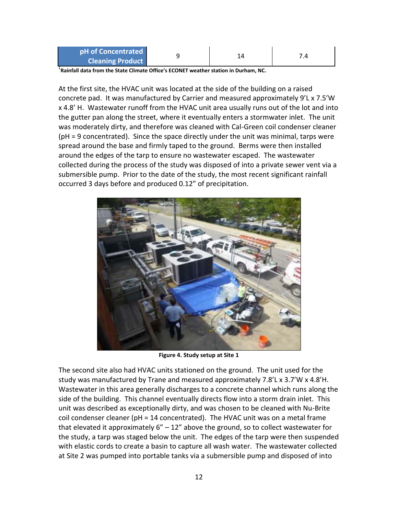| <b>pH of Concentrated</b> |  |  |
|---------------------------|--|--|
| <b>Cleaning Product</b>   |  |  |

<sup>1</sup> Rainfall data from the State Climate Office's ECONET weather station in Durham, NC.

At the first site, the HVAC unit was located at the side of the building on a raised concrete pad. It was manufactured by Carrier and measured approximately 9'L x 7.5'W x 4.8' H. Wastewater runoff from the HVAC unit area usually runs out of the lot and into the gutter pan along the street, where it eventually enters a stormwater inlet. The unit was moderately dirty, and therefore was cleaned with Cal-Green coil condenser cleaner (pH = 9 concentrated). Since the space directly under the unit was minimal, tarps were spread around the base and firmly taped to the ground. Berms were then installed around the edges of the tarp to ensure no wastewater escaped. The wastewater collected during the process of the study was disposed of into a private sewer vent via a submersible pump. Prior to the date of the study, the most recent significant rainfall occurred 3 days before and produced 0.12" of precipitation.



**Figure 4. Study setup at Site 1** 

The second site also had HVAC units stationed on the ground. The unit used for the study was manufactured by Trane and measured approximately  $7.8'$ L x  $3.7'$ W x 4.8 $'$ H. Wastewater in this area generally discharges to a concrete channel which runs along the side of the building. This channel eventually directs flow into a storm drain inlet. This unit was described as exceptionally dirty, and was chosen to be cleaned with Nu-Brite coil condenser cleaner (pH = 14 concentrated). The HVAC unit was on a metal frame that elevated it approximately  $6'' - 12''$  above the ground, so to collect wastewater for the study, a tarp was staged below the unit. The edges of the tarp were then suspended with elastic cords to create a basin to capture all wash water. The wastewater collected at Site 2 was pumped into portable tanks via a submersible pump and disposed of into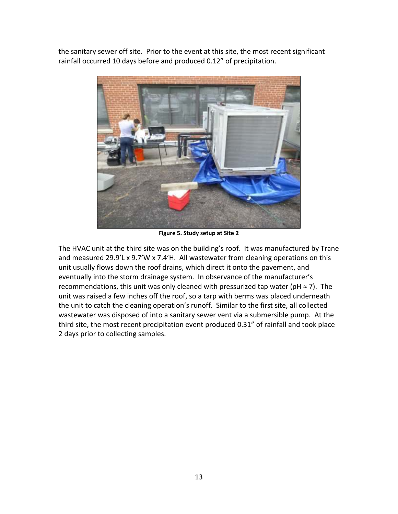the sanitary sewer off site. Prior to the event at this site, the most recent significant rainfall occurred 10 days before and produced 0.12" of precipitation.



**Figure 5. Study setup at Site 2** 

The HVAC unit at the third site was on the building's roof. It was manufactured by Trane and measured 29.9'L x 9.7'W x 7.4'H. All wastewater from cleaning operations on this unit usually flows down the roof drains, which direct it onto the pavement, and eventually into the storm drainage system. In observance of the manufacturer's recommendations, this unit was only cleaned with pressurized tap water (pH  $\approx$  7). The unit was raised a few inches off the roof, so a tarp with berms was placed underneath the unit to catch the cleaning operation's runoff. Similar to the first site, all collected wastewater was disposed of into a sanitary sewer vent via a submersible pump. At the third site, the most recent precipitation event produced 0.31" of rainfall and took place 2 days prior to collecting samples.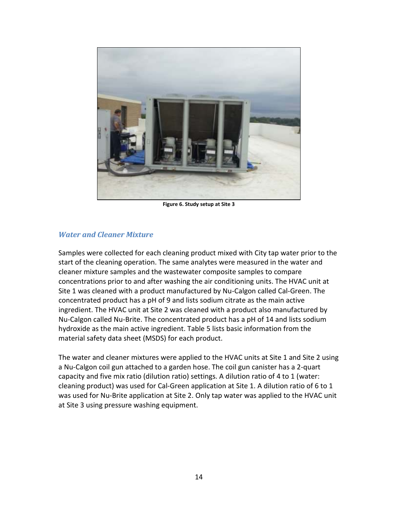

**Figure 6. Study setup at Site 3** 

#### <span id="page-13-0"></span>*Water and Cleaner Mixture*

Samples were collected for each cleaning product mixed with City tap water prior to the start of the cleaning operation. The same analytes were measured in the water and cleaner mixture samples and the wastewater composite samples to compare concentrations prior to and after washing the air conditioning units. The HVAC unit at Site 1 was cleaned with a product manufactured by Nu-Calgon called Cal-Green. The concentrated product has a pH of 9 and lists sodium citrate as the main active ingredient. The HVAC unit at Site 2 was cleaned with a product also manufactured by Nu-Calgon called Nu-Brite. The concentrated product has a pH of 14 and lists sodium hydroxide as the main active ingredient. Table 5 lists basic information from the material safety data sheet (MSDS) for each product.

The water and cleaner mixtures were applied to the HVAC units at Site 1 and Site 2 using a Nu-Calgon coil gun attached to a garden hose. The coil gun canister has a 2-quart capacity and five mix ratio (dilution ratio) settings. A dilution ratio of 4 to 1 (water: cleaning product) was used for Cal-Green application at Site 1. A dilution ratio of 6 to 1 was used for Nu-Brite application at Site 2. Only tap water was applied to the HVAC unit at Site 3 using pressure washing equipment.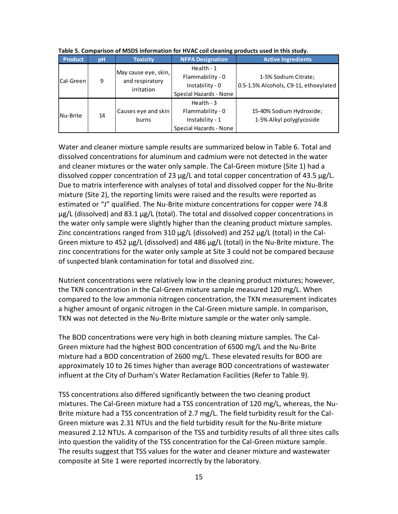| <b>Product</b> | pH | <b>Toxicity</b>                                       | <b>NFPA Designation</b>                                                       | <b>Active Ingredients</b>                                     |
|----------------|----|-------------------------------------------------------|-------------------------------------------------------------------------------|---------------------------------------------------------------|
| lCal-Green     | 9  | May cause eye, skin,<br>and respiratory<br>irritation | Health - $1$<br>Flammability - 0<br>Instability - 0<br>Special Hazards - None | 1-5% Sodium Citrate;<br>0.5-1.5% Alcohols, C9-11, ethoxylated |
| Nu-Brite       | 14 | Causes eye and skin<br>burns                          | Health - $3$<br>Flammability - 0<br>Instability - 1<br>Special Hazards - None | 15-40% Sodium Hydroxide;<br>1-5% Alkyl polyglycoside          |

**Table 5. Comparison of MSDS information for HVAC coil cleaning products used in this study.** 

Water and cleaner mixture sample results are summarized below in Table 6. Total and dissolved concentrations for aluminum and cadmium were not detected in the water and cleaner mixtures or the water only sample. The Cal-Green mixture (Site 1) had a dissolved copper concentration of 23  $\mu$ g/L and total copper concentration of 43.5  $\mu$ g/L. Due to matrix interference with analyses of total and dissolved copper for the Nu-Brite mixture (Site 2), the reporting limits were raised and the results were reported as estimated or "J" qualified. The Nu-Brite mixture concentrations for copper were 74.8 µg/L (dissolved) and 83.1 µg/L (total). The total and dissolved copper concentrations in the water only sample were slightly higher than the cleaning product mixture samples. Zinc concentrations ranged from 310  $\mu$ g/L (dissolved) and 252  $\mu$ g/L (total) in the Cal-Green mixture to 452 µg/L (dissolved) and 486 µg/L (total) in the Nu-Brite mixture. The zinc concentrations for the water only sample at Site 3 could not be compared because of suspected blank contamination for total and dissolved zinc.

Nutrient concentrations were relatively low in the cleaning product mixtures; however, the TKN concentration in the Cal-Green mixture sample measured 120 mg/L. When compared to the low ammonia nitrogen concentration, the TKN measurement indicates a higher amount of organic nitrogen in the Cal-Green mixture sample. In comparison, TKN was not detected in the Nu-Brite mixture sample or the water only sample.

The BOD concentrations were very high in both cleaning mixture samples. The Cal-Green mixture had the highest BOD concentration of 6500 mg/L and the Nu-Brite mixture had a BOD concentration of 2600 mg/L. These elevated results for BOD are approximately 10 to 26 times higher than average BOD concentrations of wastewater influent at the City of Durham's Water Reclamation Facilities (Refer to Table 9).

TSS concentrations also differed significantly between the two cleaning product mixtures. The Cal-Green mixture had a TSS concentration of 120 mg/L, whereas, the Nu-Brite mixture had a TSS concentration of 2.7 mg/L. The field turbidity result for the Cal-Green mixture was 2.31 NTUs and the field turbidity result for the Nu-Brite mixture measured 2.12 NTUs. A comparison of the TSS and turbidity results of all three sites calls into question the validity of the TSS concentration for the Cal-Green mixture sample. The results suggest that TSS values for the water and cleaner mixture and wastewater composite at Site 1 were reported incorrectly by the laboratory.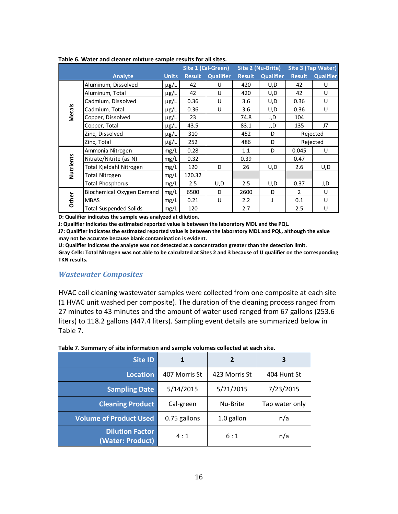|               |                               |              | Site 1 (Cal-Green) |                  | Site 2 (Nu-Brite) |                  | Site 3 (Tap Water) |                  |
|---------------|-------------------------------|--------------|--------------------|------------------|-------------------|------------------|--------------------|------------------|
|               | Analyte                       | <b>Units</b> | <b>Result</b>      | <b>Qualifier</b> | <b>Result</b>     | <b>Qualifier</b> | <b>Result</b>      | <b>Qualifier</b> |
|               | Aluminum, Dissolved           | $\mu$ g/L    | 42                 | U                | 420               | U,D              | 42                 | U                |
|               | Aluminum, Total               | $\mu$ g/L    | 42                 | U                | 420               | U,D              | 42                 | U                |
|               | Cadmium, Dissolved            | $\mu$ g/L    | 0.36               | U                | 3.6               | U,D              | 0.36               | U                |
|               | Cadmium, Total                | $\mu$ g/L    | 0.36               | U                | 3.6               | U,D              | 0.36               | U                |
| <b>Metals</b> | Copper, Dissolved             | $\mu$ g/L    | 23                 |                  | 74.8              | J,D              | 104                |                  |
|               | Copper, Total                 | $\mu$ g/L    | 43.5               |                  | 83.1              | J,D              | 135                | J7               |
|               | Zinc, Dissolved               | $\mu$ g/L    | 310                |                  | 452               | D                |                    | Rejected         |
|               | Zinc, Total                   | $\mu$ g/L    | 252                |                  | 486               | D                |                    | Rejected         |
|               | Ammonia Nitrogen              | mg/L         | 0.28               |                  | 1.1               | D                | 0.045              | U                |
| Nutrients     | Nitrate/Nitrite (as N)        | mg/L         | 0.32               |                  | 0.39              |                  | 0.47               |                  |
|               | Total Kieldahl Nitrogen       | mg/L         | 120                | D                | 26                | U,D              | 2.6                | U,D              |
|               | Total Nitrogen                | mg/L         | 120.32             |                  |                   |                  |                    |                  |
|               | <b>Total Phosphorus</b>       | mg/L         | 2.5                | U,D              | 2.5               | U,D              | 0.37               | J,D              |
|               | Biochemical Oxygen Demand     | mg/L         | 6500               | D                | 2600              | D                | $\overline{2}$     | U                |
| Other         | <b>MBAS</b>                   | mg/L         | 0.21               | U                | 2.2               |                  | 0.1                | U                |
|               | <b>Total Suspended Solids</b> | mg/L         | 120                |                  | 2.7               |                  | 2.5                | U                |

**Table 6. Water and cleaner mixture sample results for all sites.**

**D: Qualifier indicates the sample was analyzed at dilution.** 

**J: Qualifier indicates the estimated reported value is between the laboratory MDL and the PQL.** 

**J7: Qualifier indicates the estimated reported value is between the laboratory MDL and PQL, although the value may not be accurate because blank contamination is evident.** 

**U: Qualifier indicates the analyte was not detected at a concentration greater than the detection limit. Gray Cells: Total Nitrogen was not able to be calculated at Sites 2 and 3 because of U qualifier on the corresponding TKN results.**

#### <span id="page-15-0"></span>*Wastewater Composites*

HVAC coil cleaning wastewater samples were collected from one composite at each site (1 HVAC unit washed per composite). The duration of the cleaning process ranged from 27 minutes to 43 minutes and the amount of water used ranged from 67 gallons (253.6 liters) to 118.2 gallons (447.4 liters). Sampling event details are summarized below in Table 7.

| Site ID                                    |               |               | 3              |
|--------------------------------------------|---------------|---------------|----------------|
| <b>Location</b>                            | 407 Morris St | 423 Morris St | 404 Hunt St    |
| <b>Sampling Date</b>                       | 5/14/2015     | 5/21/2015     | 7/23/2015      |
| <b>Cleaning Product</b>                    | Cal-green     | Nu-Brite      | Tap water only |
| <b>Volume of Product Used</b>              | 0.75 gallons  | 1.0 gallon    | n/a            |
| <b>Dilution Factor</b><br>(Water: Product) | 4:1           | 6:1           | n/a            |

#### **Table 7. Summary of site information and sample volumes collected at each site.**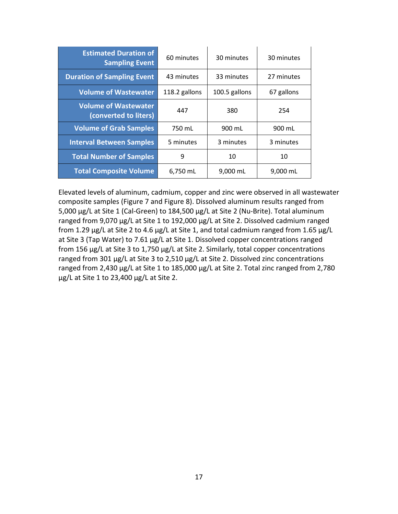| <b>Estimated Duration of</b><br><b>Sampling Event</b> | 60 minutes    | 30 minutes    | 30 minutes |  |
|-------------------------------------------------------|---------------|---------------|------------|--|
| <b>Duration of Sampling Event</b>                     | 43 minutes    | 33 minutes    | 27 minutes |  |
| <b>Volume of Wastewater</b>                           | 118.2 gallons | 100.5 gallons | 67 gallons |  |
| <b>Volume of Wastewater</b><br>(converted to liters)  | 447           | 380           | 254        |  |
| <b>Volume of Grab Samples</b>                         | 750 mL        | 900 mL        | 900 mL     |  |
| <b>Interval Between Samples</b>                       | 5 minutes     | 3 minutes     | 3 minutes  |  |
| <b>Total Number of Samples</b>                        | 9             | 10            | 10         |  |
| <b>Total Composite Volume</b>                         | 6,750 mL      | 9,000 mL      | 9,000 mL   |  |

Elevated levels of aluminum, cadmium, copper and zinc were observed in all wastewater composite samples (Figure 7 and Figure 8). Dissolved aluminum results ranged from 5,000 µg/L at Site 1 (Cal-Green) to 184,500 µg/L at Site 2 (Nu-Brite). Total aluminum ranged from 9,070 µg/L at Site 1 to 192,000 µg/L at Site 2. Dissolved cadmium ranged from 1.29  $\mu$ g/L at Site 2 to 4.6  $\mu$ g/L at Site 1, and total cadmium ranged from 1.65  $\mu$ g/L at Site 3 (Tap Water) to 7.61 µg/L at Site 1. Dissolved copper concentrations ranged from 156 µg/L at Site 3 to 1,750 µg/L at Site 2. Similarly, total copper concentrations ranged from 301 µg/L at Site 3 to 2,510 µg/L at Site 2. Dissolved zinc concentrations ranged from 2,430 µg/L at Site 1 to 185,000 µg/L at Site 2. Total zinc ranged from 2,780 µg/L at Site 1 to 23,400 µg/L at Site 2.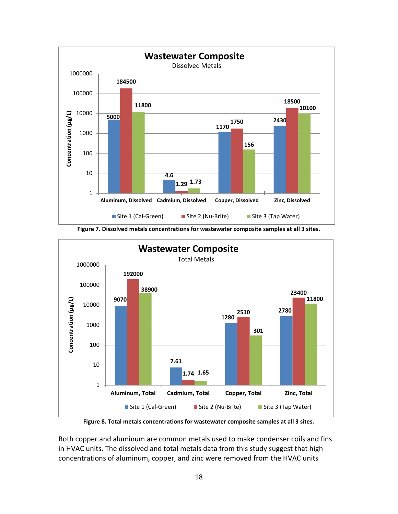

**Figure 7. Dissolved metals concentrations for wastewater composite samples at all 3 sites.** 



**Figure 8. Total metals concentrations for wastewater composite samples at all 3 sites.** 

Both copper and aluminum are common metals used to make condenser coils and fins in HVAC units. The dissolved and total metals data from this study suggest that high concentrations of aluminum, copper, and zinc were removed from the HVAC units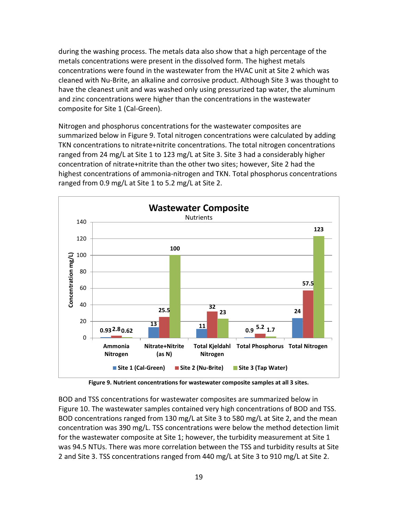during the washing process. The metals data also show that a high percentage of the metals concentrations were present in the dissolved form. The highest metals concentrations were found in the wastewater from the HVAC unit at Site 2 which was cleaned with Nu-Brite, an alkaline and corrosive product. Although Site 3 was thought to have the cleanest unit and was washed only using pressurized tap water, the aluminum and zinc concentrations were higher than the concentrations in the wastewater composite for Site 1 (Cal-Green).

Nitrogen and phosphorus concentrations for the wastewater composites are summarized below in Figure 9. Total nitrogen concentrations were calculated by adding TKN concentrations to nitrate+nitrite concentrations. The total nitrogen concentrations ranged from 24 mg/L at Site 1 to 123 mg/L at Site 3. Site 3 had a considerably higher concentration of nitrate+nitrite than the other two sites; however, Site 2 had the highest concentrations of ammonia-nitrogen and TKN. Total phosphorus concentrations ranged from 0.9 mg/L at Site 1 to 5.2 mg/L at Site 2.



**Figure 9. Nutrient concentrations for wastewater composite samples at all 3 sites.** 

BOD and TSS concentrations for wastewater composites are summarized below in Figure 10. The wastewater samples contained very high concentrations of BOD and TSS. BOD concentrations ranged from 130 mg/L at Site 3 to 580 mg/L at Site 2, and the mean concentration was 390 mg/L. TSS concentrations were below the method detection limit for the wastewater composite at Site 1; however, the turbidity measurement at Site 1 was 94.5 NTUs. There was more correlation between the TSS and turbidity results at Site 2 and Site 3. TSS concentrations ranged from 440 mg/L at Site 3 to 910 mg/L at Site 2.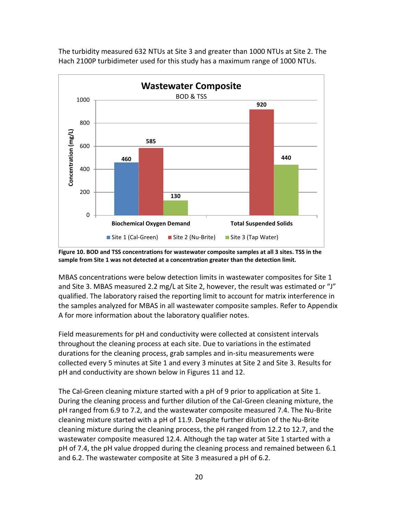

The turbidity measured 632 NTUs at Site 3 and greater than 1000 NTUs at Site 2. The Hach 2100P turbidimeter used for this study has a maximum range of 1000 NTUs.

MBAS concentrations were below detection limits in wastewater composites for Site 1 and Site 3. MBAS measured 2.2 mg/L at Site 2, however, the result was estimated or "J" qualified. The laboratory raised the reporting limit to account for matrix interference in the samples analyzed for MBAS in all wastewater composite samples. Refer to Appendix A for more information about the laboratory qualifier notes.

Field measurements for pH and conductivity were collected at consistent intervals throughout the cleaning process at each site. Due to variations in the estimated durations for the cleaning process, grab samples and in-situ measurements were collected every 5 minutes at Site 1 and every 3 minutes at Site 2 and Site 3. Results for pH and conductivity are shown below in Figures 11 and 12.

The Cal-Green cleaning mixture started with a pH of 9 prior to application at Site 1. During the cleaning process and further dilution of the Cal-Green cleaning mixture, the pH ranged from 6.9 to 7.2, and the wastewater composite measured 7.4. The Nu-Brite cleaning mixture started with a pH of 11.9. Despite further dilution of the Nu-Brite cleaning mixture during the cleaning process, the pH ranged from 12.2 to 12.7, and the wastewater composite measured 12.4. Although the tap water at Site 1 started with a pH of 7.4, the pH value dropped during the cleaning process and remained between 6.1 and 6.2. The wastewater composite at Site 3 measured a pH of 6.2.

**Figure 10. BOD and TSS concentrations for wastewater composite samples at all 3 sites. TSS in the sample from Site 1 was not detected at a concentration greater than the detection limit.**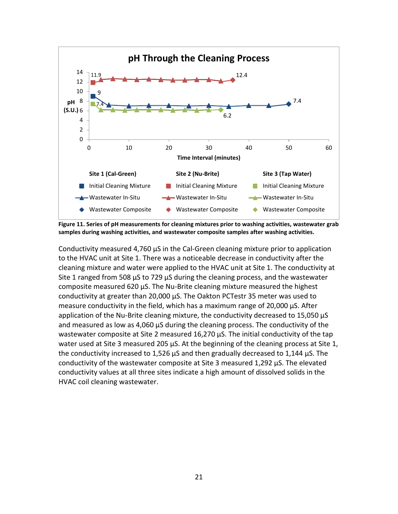

**Figure 11. Series of pH measurements for cleaning mixtures prior to washing activities, wastewater grab samples during washing activities, and wastewater composite samples after washing activities.** 

Conductivity measured  $4,760 \mu S$  in the Cal-Green cleaning mixture prior to application to the HVAC unit at Site 1. There was a noticeable decrease in conductivity after the cleaning mixture and water were applied to the HVAC unit at Site 1. The conductivity at Site 1 ranged from 508  $\mu$ S to 729  $\mu$ S during the cleaning process, and the wastewater composite measured 620 µS. The Nu-Brite cleaning mixture measured the highest conductivity at greater than 20,000  $\mu$ S. The Oakton PCTestr 35 meter was used to measure conductivity in the field, which has a maximum range of 20,000 µS. After application of the Nu-Brite cleaning mixture, the conductivity decreased to 15,050 µS and measured as low as 4,060 µS during the cleaning process. The conductivity of the wastewater composite at Site 2 measured 16,270 µS. The initial conductivity of the tap water used at Site 3 measured 205 µS. At the beginning of the cleaning process at Site 1, the conductivity increased to 1,526 µS and then gradually decreased to 1,144 µS. The conductivity of the wastewater composite at Site 3 measured 1,292 µS. The elevated conductivity values at all three sites indicate a high amount of dissolved solids in the HVAC coil cleaning wastewater.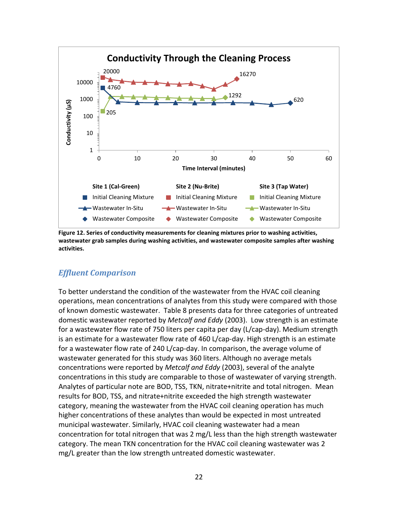

**Figure 12. Series of conductivity measurements for cleaning mixtures prior to washing activities, wastewater grab samples during washing activities, and wastewater composite samples after washing activities.** 

### <span id="page-21-0"></span>*Effluent Comparison*

To better understand the condition of the wastewater from the HVAC coil cleaning operations, mean concentrations of analytes from this study were compared with those of known domestic wastewater. Table 8 presents data for three categories of untreated domestic wastewater reported by *Metcalf and Eddy* (2003). Low strength is an estimate for a wastewater flow rate of 750 liters per capita per day (L/cap-day). Medium strength is an estimate for a wastewater flow rate of 460 L/cap-day. High strength is an estimate for a wastewater flow rate of 240 L/cap-day. In comparison, the average volume of wastewater generated for this study was 360 liters. Although no average metals concentrations were reported by *Metcalf and Eddy* (2003), several of the analyte concentrations in this study are comparable to those of wastewater of varying strength. Analytes of particular note are BOD, TSS, TKN, nitrate+nitrite and total nitrogen. Mean results for BOD, TSS, and nitrate+nitrite exceeded the high strength wastewater category, meaning the wastewater from the HVAC coil cleaning operation has much higher concentrations of these analytes than would be expected in most untreated municipal wastewater. Similarly, HVAC coil cleaning wastewater had a mean concentration for total nitrogen that was 2 mg/L less than the high strength wastewater category. The mean TKN concentration for the HVAC coil cleaning wastewater was 2 mg/L greater than the low strength untreated domestic wastewater.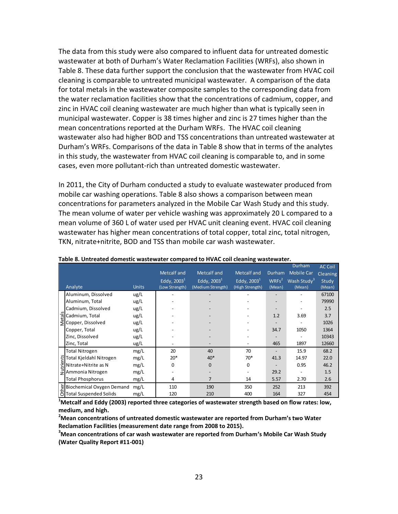The data from this study were also compared to influent data for untreated domestic wastewater at both of Durham's Water Reclamation Facilities (WRFs), also shown in Table 8. These data further support the conclusion that the wastewater from HVAC coil cleaning is comparable to untreated municipal wastewater. A comparison of the data for total metals in the wastewater composite samples to the corresponding data from the water reclamation facilities show that the concentrations of cadmium, copper, and zinc in HVAC coil cleaning wastewater are much higher than what is typically seen in municipal wastewater. Copper is 38 times higher and zinc is 27 times higher than the mean concentrations reported at the Durham WRFs. The HVAC coil cleaning wastewater also had higher BOD and TSS concentrations than untreated wastewater at Durham's WRFs. Comparisons of the data in Table 8 show that in terms of the analytes in this study, the wastewater from HVAC coil cleaning is comparable to, and in some cases, even more pollutant-rich than untreated domestic wastewater.

In 2011, the City of Durham conducted a study to evaluate wastewater produced from mobile car washing operations. Table 8 also shows a comparison between mean concentrations for parameters analyzed in the Mobile Car Wash Study and this study. The mean volume of water per vehicle washing was approximately 20 L compared to a mean volume of 360 L of water used per HVAC unit cleaning event. HVAC coil cleaning wastewater has higher mean concentrations of total copper, total zinc, total nitrogen, TKN, nitrate+nitrite, BOD and TSS than mobile car wash wastewater.

|                                                                                                   |              |                |                   |                 |          | Durham                  | <b>AC Coil</b>  |
|---------------------------------------------------------------------------------------------------|--------------|----------------|-------------------|-----------------|----------|-------------------------|-----------------|
|                                                                                                   |              | Metcalf and    | Metcalf and       | Metcalf and     | Durham   | <b>Mobile Car</b>       | <b>Cleaning</b> |
|                                                                                                   |              | Eddy, $20031$  | Eddy, $20031$     | Eddy, $2003^1$  | $WRFs^2$ | Wash Study <sup>3</sup> | Study           |
| Analyte                                                                                           | <b>Units</b> | (Low Strength) | (Medium Strength) | (High Strength) | (Mean)   | (Mean)                  | (Mean)          |
| Aluminum, Dissolved                                                                               | ug/L         |                |                   |                 |          |                         | 67100           |
| Aluminum, Total                                                                                   | ug/L         |                |                   |                 |          |                         | 79990           |
| Cadmium, Dissolved                                                                                | ug/L         |                |                   |                 |          |                         | 2.5             |
| $\frac{8}{6}$ Cadmium, Total                                                                      | ug/L         |                |                   |                 | 1.2      | 3.69                    | 3.7             |
| Copper, Dissolved                                                                                 | ug/L         |                |                   |                 |          |                         | 1026            |
| Copper, Total                                                                                     | ug/L         |                |                   |                 | 34.7     | 1050                    | 1364            |
| Zinc, Dissolved                                                                                   | ug/L         |                |                   |                 |          |                         | 10343           |
| Zinc, Total                                                                                       | ug/L         | ٠              |                   |                 | 465      | 1897                    | 12660           |
| <b>Total Nitrogen</b>                                                                             | mg/L         | 20             | 40                | 70              |          | 15.9                    | 68.2            |
| Helpotal Kjeldahl Nitro<br>Mitrate+Nitrite as N<br>El Ammonia Nitrogen<br>Total Kieldahl Nitrogen | mg/L         | $20*$          | $40*$             | 70*             | 41.3     | 14.97                   | 22.0            |
|                                                                                                   | mg/L         | $\Omega$       | $\mathbf 0$       | 0               |          | 0.95                    | 46.2            |
|                                                                                                   | mg/L         |                |                   |                 | 29.2     |                         | 1.5             |
| <b>Total Phosphorus</b>                                                                           | mg/L         | 4              | 7                 | 14              | 5.57     | 2.70                    | 2.6             |
|                                                                                                   | mg/L         | 110            | 190               | 350             | 252      | 213                     | 392             |
| Biochemical Oxygen Demand<br>O Total Suspended Solids                                             | mg/L         | 120            | 210               | 400             | 164      | 327                     | 454             |

|  | Table 8. Untreated domestic wastewater compared to HVAC coil cleaning wastewater. |
|--|-----------------------------------------------------------------------------------|
|  |                                                                                   |

**<sup>1</sup>Metcalf and Eddy (2003) reported three categories of wastewater strength based on flow rates: low, medium, and high.** 

<sup>2</sup> Mean concentrations of untreated domestic wastewater are reported from Durham's two Water **Reclamation Facilities (measurement date range from 2008 to 2015).** 

**<sup>3</sup>Mean concentrations of car wash wastewater are reported from Durham's Moďile Car Wash Study (Water Quality Report #11-001)**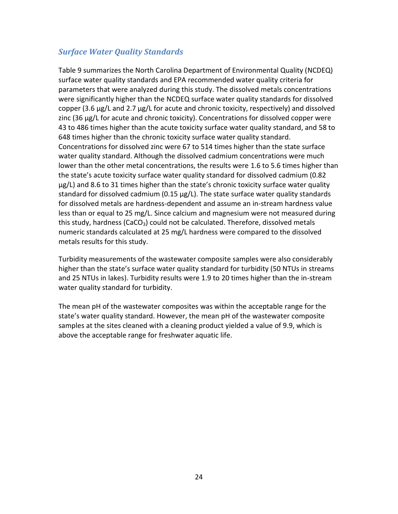### <span id="page-23-0"></span>*Surface Water Quality Standards*

Table 9 summarizes the North Carolina Department of Environmental Quality (NCDEQ) surface water quality standards and EPA recommended water quality criteria for parameters that were analyzed during this study. The dissolved metals concentrations were significantly higher than the NCDEQ surface water quality standards for dissolved copper (3.6 µg/L and 2.7 µg/L for acute and chronic toxicity, respectively) and dissolved zinc (36 µg/L for acute and chronic toxicity). Concentrations for dissolved copper were 43 to 486 times higher than the acute toxicity surface water quality standard, and 58 to 648 times higher than the chronic toxicity surface water quality standard. Concentrations for dissolved zinc were 67 to 514 times higher than the state surface water quality standard. Although the dissolved cadmium concentrations were much lower than the other metal concentrations, the results were 1.6 to 5.6 times higher than the state's acute toxicity surface water quality standard for dissolved cadmium (0.82  $\mu$ g/L) and 8.6 to 31 times higher than the state's chronic toxicity surface water quality standard for dissolved cadmium (0.15 µg/L). The state surface water quality standards for dissolved metals are hardness-dependent and assume an in-stream hardness value less than or equal to 25 mg/L. Since calcium and magnesium were not measured during this study, hardness (CaCO<sub>3</sub>) could not be calculated. Therefore, dissolved metals numeric standards calculated at 25 mg/L hardness were compared to the dissolved metals results for this study.

Turbidity measurements of the wastewater composite samples were also considerably higher than the state's surface water quality standard for turbidity (50 NTUs in streams and 25 NTUs in lakes). Turbidity results were 1.9 to 20 times higher than the in-stream water quality standard for turbidity.

The mean pH of the wastewater composites was within the acceptable range for the state's water quality standard. However, the mean pH of the wastewater composite samples at the sites cleaned with a cleaning product yielded a value of 9.9, which is above the acceptable range for freshwater aquatic life.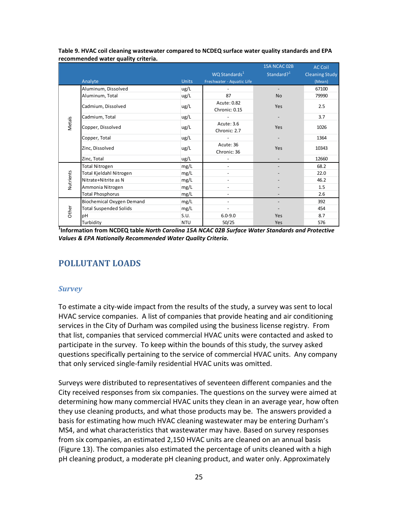|           |                                  |              |                              | 15A NCAC 02B             | <b>AC Coil</b>        |
|-----------|----------------------------------|--------------|------------------------------|--------------------------|-----------------------|
|           |                                  |              | WQ Standards <sup>1</sup>    | Standard? <sup>1</sup>   | <b>Cleaning Study</b> |
|           | Analyte                          | <b>Units</b> | Freshwater - Aquatic Life    |                          | (Mean)                |
|           | Aluminum, Dissolved              | ug/L         | $\overline{\phantom{a}}$     | $\overline{\phantom{a}}$ | 67100                 |
|           | Aluminum, Total                  | ug/L         | 87                           | <b>No</b>                | 79990                 |
|           | Cadmium, Dissolved               | ug/L         | Acute: 0.82<br>Chronic: 0.15 | Yes                      | 2.5                   |
|           | Cadmium, Total                   | ug/L         |                              |                          | 3.7                   |
| Metals    | Copper, Dissolved                | ug/L         | Acute: 3.6<br>Chronic: 2.7   | Yes                      | 1026                  |
|           | Copper, Total                    | ug/L         |                              |                          | 1364                  |
|           | Zinc, Dissolved                  | ug/L         | Acute: 36<br>Chronic: 36     | Yes                      | 10343                 |
|           | Zinc, Total                      | ug/L         | -                            | $\overline{\phantom{a}}$ | 12660                 |
|           | <b>Total Nitrogen</b>            | mg/L         | $\overline{\phantom{a}}$     |                          | 68.2                  |
|           | Total Kjeldahl Nitrogen          | mg/L         |                              |                          | 22.0                  |
| Nutrients | Nitrate+Nitrite as N             | mg/L         | ٠                            |                          | 46.2                  |
|           | Ammonia Nitrogen                 | mg/L         | ٠                            |                          | 1.5                   |
|           | <b>Total Phosphorus</b>          | mg/L         |                              |                          | 2.6                   |
|           | <b>Biochemical Oxygen Demand</b> | mg/L         | $\overline{\phantom{0}}$     |                          | 392                   |
| Other     | <b>Total Suspended Solids</b>    | mg/L         |                              |                          | 454                   |
|           | рH                               | S.U.         | $6.0 - 9.0$                  | Yes                      | 8.7                   |
|           | Turbidity                        | <b>NTU</b>   | 50/25                        | Yes                      | 576                   |

**Table 9. HVAC coil cleaning wastewater compared to NCDEQ surface water quality standards and EPA recommended water quality criteria.** 

<span id="page-24-0"></span>**1 Information from NCDEQ table** *North Carolina 15A NCAC 02B Surface Water Standards and Protective Values & EPA Nationally Recommended Water Quality Criteria.*

# **POLLUTANT LOADS**

#### <span id="page-24-1"></span>*Survey*

To estimate a city-wide impact from the results of the study, a survey was sent to local HVAC service companies. A list of companies that provide heating and air conditioning services in the City of Durham was compiled using the business license registry. From that list, companies that serviced commercial HVAC units were contacted and asked to participate in the survey. To keep within the bounds of this study, the survey asked questions specifically pertaining to the service of commercial HVAC units. Any company that only serviced single-family residential HVAC units was omitted.

Surveys were distributed to representatives of seventeen different companies and the City received responses from six companies. The questions on the survey were aimed at determining how many commercial HVAC units they clean in an average year, how often they use cleaning products, and what those products may be. The answers provided a basis for estimating how much HVAC cleaning wastewater may be entering Durham's MS4, and what characteristics that wastewater may have. Based on survey responses from six companies, an estimated 2,150 HVAC units are cleaned on an annual basis (Figure 13). The companies also estimated the percentage of units cleaned with a high pH cleaning product, a moderate pH cleaning product, and water only. Approximately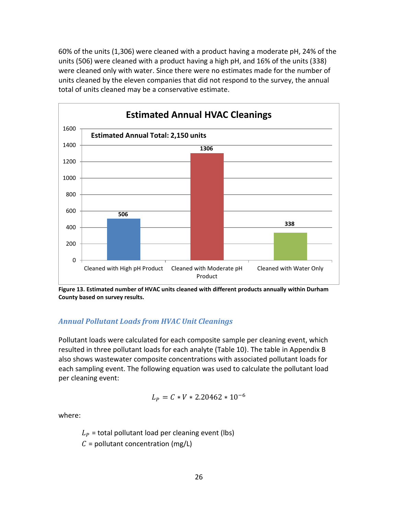60% of the units (1,306) were cleaned with a product having a moderate pH, 24% of the units (506) were cleaned with a product having a high pH, and 16% of the units (338) were cleaned only with water. Since there were no estimates made for the number of units cleaned by the eleven companies that did not respond to the survey, the annual total of units cleaned may be a conservative estimate.



**Figure 13. Estimated number of HVAC units cleaned with different products annually within Durham County based on survey results.** 

### <span id="page-25-0"></span>*Annual Pollutant Loads from HVAC Unit Cleanings*

Pollutant loads were calculated for each composite sample per cleaning event, which resulted in three pollutant loads for each analyte (Table 10). The table in Appendix B also shows wastewater composite concentrations with associated pollutant loads for each sampling event. The following equation was used to calculate the pollutant load per cleaning event:

$$
L_P = C * V * 2.20462 * 10^{-6}
$$

where:

 $L<sub>p</sub>$  = total pollutant load per cleaning event (lbs)  $C =$  pollutant concentration (mg/L)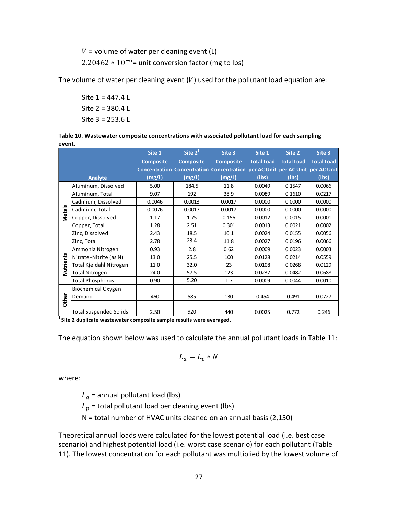$V =$  volume of water per cleaning event (L)  $2.20462 * 10^{-6}$  = unit conversion factor (mg to lbs)

The volume of water per cleaning event  $(V)$  used for the pollutant load equation are:

Site 1 = 447.4 L Site 2 = 380.4 L Site 3 = 253.6 L

|        | Table 10. Wastewater composite concentrations with associated pollutant load for each sampling |  |  |
|--------|------------------------------------------------------------------------------------------------|--|--|
| event. |                                                                                                |  |  |

|           |                               | Site 1           | Site $2^1$       | Site 3                                                                        | Site 1            | Site 2            | Site 3            |
|-----------|-------------------------------|------------------|------------------|-------------------------------------------------------------------------------|-------------------|-------------------|-------------------|
|           |                               | <b>Composite</b> | <b>Composite</b> | <b>Composite</b>                                                              | <b>Total Load</b> | <b>Total Load</b> | <b>Total Load</b> |
|           |                               |                  |                  | Concentration Concentration Concentration per AC Unit per AC Unit per AC Unit |                   |                   |                   |
|           | Analyte                       | (mg/L)           | (mg/L)           | (mg/L)                                                                        | (Ibs)             | (lbs)             | (lbs)             |
|           | Aluminum, Dissolved           | 5.00             | 184.5            | 11.8                                                                          | 0.0049            | 0.1547            | 0.0066            |
|           | Aluminum, Total               | 9.07             | 192              | 38.9                                                                          | 0.0089            | 0.1610            | 0.0217            |
|           | Cadmium, Dissolved            | 0.0046           | 0.0013           | 0.0017                                                                        | 0.0000            | 0.0000            | 0.0000            |
| Metals    | Cadmium, Total                | 0.0076           | 0.0017           | 0.0017                                                                        | 0.0000            | 0.0000            | 0.0000            |
|           | Copper, Dissolved             | 1.17             | 1.75             | 0.156                                                                         | 0.0012            | 0.0015            | 0.0001            |
|           | Copper, Total                 | 1.28             | 2.51             | 0.301                                                                         | 0.0013            | 0.0021            | 0.0002            |
|           | Zinc, Dissolved               | 2.43             | 18.5             | 10.1                                                                          | 0.0024            | 0.0155            | 0.0056            |
|           | Zinc, Total                   | 2.78             | 23.4             | 11.8                                                                          | 0.0027            | 0.0196            | 0.0066            |
|           | Ammonia Nitrogen              | 0.93             | 2.8              | 0.62                                                                          | 0.0009            | 0.0023            | 0.0003            |
| Nutrients | Nitrate+Nitrite (as N)        | 13.0             | 25.5             | 100                                                                           | 0.0128            | 0.0214            | 0.0559            |
|           | Total Kjeldahl Nitrogen       | 11.0             | 32.0             | 23                                                                            | 0.0108            | 0.0268            | 0.0129            |
|           | <b>Total Nitrogen</b>         | 24.0             | 57.5             | 123                                                                           | 0.0237            | 0.0482            | 0.0688            |
|           | <b>Total Phosphorus</b>       | 0.90             | 5.20             | 1.7                                                                           | 0.0009            | 0.0044            | 0.0010            |
|           | Biochemical Oxygen            |                  |                  |                                                                               |                   |                   |                   |
| Other     | Demand                        | 460              | 585              | 130                                                                           | 0.454             | 0.491             | 0.0727            |
|           | <b>Total Suspended Solids</b> |                  | 920              |                                                                               |                   |                   |                   |
|           |                               | 2.50             |                  | 440                                                                           | 0.0025            | 0.772             | 0.246             |

**<sup>1</sup>Site 2 duplicate wastewater composite sample results were averaged.** 

The equation shown below was used to calculate the annual pollutant loads in Table 11:

$$
L_a=L_p*N
$$

where:

 $L_a$  = annual pollutant load (lbs)

 $L_p$  = total pollutant load per cleaning event (lbs)

N = total number of HVAC units cleaned on an annual basis (2,150)

Theoretical annual loads were calculated for the lowest potential load (i.e. best case scenario) and highest potential load (i.e. worst case scenario) for each pollutant (Table 11). The lowest concentration for each pollutant was multiplied by the lowest volume of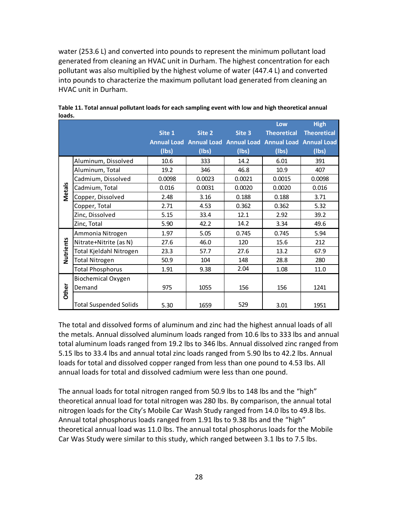water (253.6 L) and converted into pounds to represent the minimum pollutant load generated from cleaning an HVAC unit in Durham. The highest concentration for each pollutant was also multiplied by the highest volume of water (447.4 L) and converted into pounds to characterize the maximum pollutant load generated from cleaning an HVAC unit in Durham.

|                  |                               |        |        |        | Low                                                         | <b>High</b>        |
|------------------|-------------------------------|--------|--------|--------|-------------------------------------------------------------|--------------------|
|                  |                               | Site 1 | Site 2 | Site 3 | <b>Theoretical</b>                                          | <b>Theoretical</b> |
|                  |                               |        |        |        | Annual Load Annual Load Annual Load Annual Load Annual Load |                    |
|                  |                               | (lbs)  | (Ibs)  | (Ibs)  | (Ibs)                                                       | (lbs)              |
|                  | Aluminum, Dissolved           | 10.6   | 333    | 14.2   | 6.01                                                        | 391                |
|                  | Aluminum, Total               | 19.2   | 346    | 46.8   | 10.9                                                        | 407                |
|                  | Cadmium, Dissolved            | 0.0098 | 0.0023 | 0.0021 | 0.0015                                                      | 0.0098             |
| <b>Metals</b>    | Cadmium, Total                | 0.016  | 0.0031 | 0.0020 | 0.0020                                                      | 0.016              |
|                  | Copper, Dissolved             | 2.48   | 3.16   | 0.188  | 0.188                                                       | 3.71               |
|                  | Copper, Total                 | 2.71   | 4.53   | 0.362  | 0.362                                                       | 5.32               |
|                  | Zinc, Dissolved               | 5.15   | 33.4   | 12.1   | 2.92                                                        | 39.2               |
|                  | Zinc, Total                   | 5.90   | 42.2   | 14.2   | 3.34                                                        | 49.6               |
|                  | Ammonia Nitrogen              | 1.97   | 5.05   | 0.745  | 0.745                                                       | 5.94               |
|                  | Nitrate+Nitrite (as N)        | 27.6   | 46.0   | 120    | 15.6                                                        | 212                |
| <b>Nutrients</b> | Total Kjeldahl Nitrogen       | 23.3   | 57.7   | 27.6   | 13.2                                                        | 67.9               |
|                  | <b>Total Nitrogen</b>         | 50.9   | 104    | 148    | 28.8                                                        | 280                |
|                  | <b>Total Phosphorus</b>       | 1.91   | 9.38   | 2.04   | 1.08                                                        | 11.0               |
|                  | <b>Biochemical Oxygen</b>     |        |        |        |                                                             |                    |
| Other            | Demand                        | 975    | 1055   | 156    | 156                                                         | 1241               |
|                  |                               |        |        |        |                                                             |                    |
|                  | <b>Total Suspended Solids</b> | 5.30   | 1659   | 529    | 3.01                                                        | 1951               |

**Table 11. Total annual pollutant loads for each sampling event with low and high theoretical annual loads.** 

The total and dissolved forms of aluminum and zinc had the highest annual loads of all the metals. Annual dissolved aluminum loads ranged from 10.6 lbs to 333 lbs and annual total aluminum loads ranged from 19.2 lbs to 346 lbs. Annual dissolved zinc ranged from 5.15 lbs to 33.4 lbs and annual total zinc loads ranged from 5.90 lbs to 42.2 lbs. Annual loads for total and dissolved copper ranged from less than one pound to 4.53 lbs. All annual loads for total and dissolved cadmium were less than one pound.

The annual loads for total nitrogen ranged from 50.9 lbs to 148 lbs and the "high" theoretical annual load for total nitrogen was 280 lbs. By comparison, the annual total nitrogen loads for the City's Mobile Car Wash Study ranged from 14.0 lbs to 49.8 lbs. Annual total phosphorus loads ranged from 1.91 lbs to 9.38 lbs and the "high" theoretical annual load was 11.0 lbs. The annual total phosphorus loads for the Mobile Car Was Study were similar to this study, which ranged between 3.1 lbs to 7.5 lbs.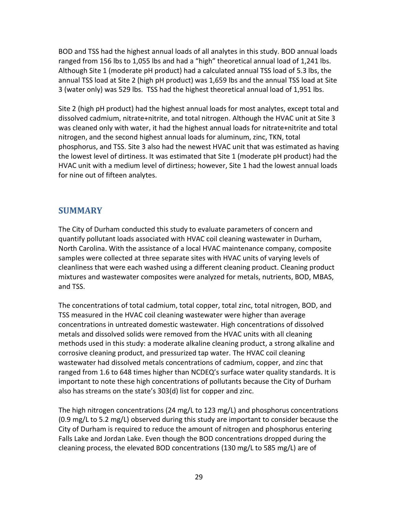BOD and TSS had the highest annual loads of all analytes in this study. BOD annual loads ranged from 156 lbs to 1,055 lbs and had a "high" theoretical annual load of 1,241 lbs. Although Site 1 (moderate pH product) had a calculated annual TSS load of 5.3 lbs, the annual TSS load at Site 2 (high pH product) was 1,659 lbs and the annual TSS load at Site 3 (water only) was 529 lbs. TSS had the highest theoretical annual load of 1,951 lbs.

Site 2 (high pH product) had the highest annual loads for most analytes, except total and dissolved cadmium, nitrate+nitrite, and total nitrogen. Although the HVAC unit at Site 3 was cleaned only with water, it had the highest annual loads for nitrate+nitrite and total nitrogen, and the second highest annual loads for aluminum, zinc, TKN, total phosphorus, and TSS. Site 3 also had the newest HVAC unit that was estimated as having the lowest level of dirtiness. It was estimated that Site 1 (moderate pH product) had the HVAC unit with a medium level of dirtiness; however, Site 1 had the lowest annual loads for nine out of fifteen analytes.

### <span id="page-28-0"></span>**SUMMARY**

The City of Durham conducted this study to evaluate parameters of concern and quantify pollutant loads associated with HVAC coil cleaning wastewater in Durham, North Carolina. With the assistance of a local HVAC maintenance company, composite samples were collected at three separate sites with HVAC units of varying levels of cleanliness that were each washed using a different cleaning product. Cleaning product mixtures and wastewater composites were analyzed for metals, nutrients, BOD, MBAS, and TSS.

The concentrations of total cadmium, total copper, total zinc, total nitrogen, BOD, and TSS measured in the HVAC coil cleaning wastewater were higher than average concentrations in untreated domestic wastewater. High concentrations of dissolved metals and dissolved solids were removed from the HVAC units with all cleaning methods used in this study: a moderate alkaline cleaning product, a strong alkaline and corrosive cleaning product, and pressurized tap water. The HVAC coil cleaning wastewater had dissolved metals concentrations of cadmium, copper, and zinc that ranged from 1.6 to 648 times higher than NCDEQ's surface water quality standards. It is important to note these high concentrations of pollutants because the City of Durham also has streams on the state's 303(d) list for copper and zinc.

The high nitrogen concentrations (24 mg/L to 123 mg/L) and phosphorus concentrations (0.9 mg/L to 5.2 mg/L) observed during this study are important to consider because the City of Durham is required to reduce the amount of nitrogen and phosphorus entering Falls Lake and Jordan Lake. Even though the BOD concentrations dropped during the cleaning process, the elevated BOD concentrations (130 mg/L to 585 mg/L) are of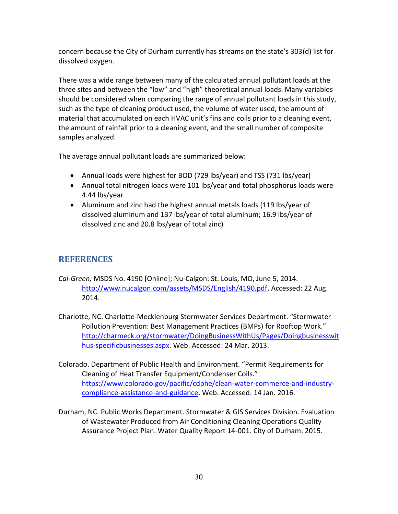concern because the City of Durham currently has streams on the state's 303(d) list for dissolved oxygen.

There was a wide range between many of the calculated annual pollutant loads at the three sites and between the "low" and "high" theoretical annual loads. Many variables should be considered when comparing the range of annual pollutant loads in this study, such as the type of cleaning product used, the volume of water used, the amount of material that accumulated on each HVAC unit's fins and coils prior to a cleaning event, the amount of rainfall prior to a cleaning event, and the small number of composite samples analyzed.

The average annual pollutant loads are summarized below:

- Annual loads were highest for BOD (729 lbs/year) and TSS (731 lbs/year)
- Annual total nitrogen loads were 101 lbs/year and total phosphorus loads were 4.44 lbs/year
- Aluminum and zinc had the highest annual metals loads (119 lbs/year of dissolved aluminum and 137 lbs/year of total aluminum; 16.9 lbs/year of dissolved zinc and 20.8 lbs/year of total zinc)

# <span id="page-29-0"></span>**REFERENCES**

- *Cal-Green;* MSDS No. 4190 [Online]; Nu-Calgon: St. Louis, MO, June 5, 2014. [http://www.nucalgon.com/assets/MSDS/English/4190.pdf.](http://www.nucalgon.com/assets/MSDS/English/4190.pdf) Accessed: 22 Aug. 2014.
- Charlotte, NC. Charlotte-Mecklenburg Stormwater Services Department. ͞Stormwater Pollution Prevention: Best Management Practices (BMPs) for Rooftop Work.<sup>"</sup> [http://charmeck.org/stormwater/DoingBusinessWithUs/Pages/Doingbusinesswit](http://charmeck.org/stormwater/DoingBusinessWithUs/Pages/Doingbusinesswithus-specificbusinesses.aspx) [hus-specificbusinesses.aspx.](http://charmeck.org/stormwater/DoingBusinessWithUs/Pages/Doingbusinesswithus-specificbusinesses.aspx) Web. Accessed: 24 Mar. 2013.
- Colorado. Department of Public Health and Environment. ͞Permit Requirements for Cleaning of Heat Transfer Equipment/Condenser Coils." [https://www.colorado.gov/pacific/cdphe/clean-water-commerce-and-industry](https://www.colorado.gov/pacific/cdphe/clean-water-commerce-and-industry-compliance-assistance-and-guidance)[compliance-assistance-and-guidance.](https://www.colorado.gov/pacific/cdphe/clean-water-commerce-and-industry-compliance-assistance-and-guidance) Web. Accessed: 14 Jan. 2016.
- Durham, NC. Public Works Department. Stormwater & GIS Services Division. Evaluation of Wastewater Produced from Air Conditioning Cleaning Operations Quality Assurance Project Plan. Water Quality Report 14-001. City of Durham: 2015.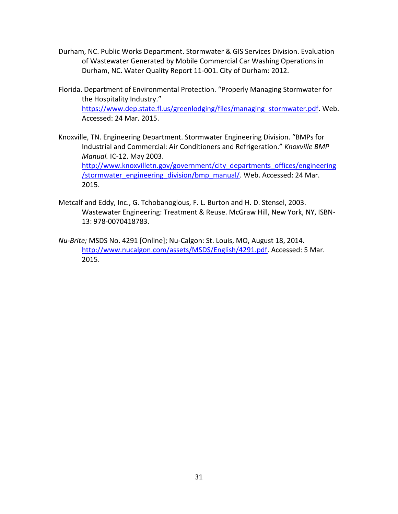- Durham, NC. Public Works Department. Stormwater & GIS Services Division. Evaluation of Wastewater Generated by Mobile Commercial Car Washing Operations in Durham, NC. Water Quality Report 11-001. City of Durham: 2012.
- Florida. Department of Environmental Protection. "Properly Managing Stormwater for the Hospitality Industry." [https://www.dep.state.fl.us/greenlodging/files/managing\\_stormwater.pdf.](https://www.dep.state.fl.us/greenlodging/files/managing_stormwater.pdf) Web. Accessed: 24 Mar. 2015.
- Knoxville, TN. Engineering Department. Stormwater Engineering Division. "BMPs for Industrial and Commercial: Air Conditioners and Refrigeration." Knoxville BMP *Manual.* IC-12. May 2003. [http://www.knoxvilletn.gov/government/city\\_departments\\_offices/engineering](http://www.knoxvilletn.gov/government/city_departments_offices/engineering/stormwater_engineering_division/bmp_manual/) [/stormwater\\_engineering\\_division/bmp\\_manual/.](http://www.knoxvilletn.gov/government/city_departments_offices/engineering/stormwater_engineering_division/bmp_manual/) Web. Accessed: 24 Mar. 2015.
- Metcalf and Eddy, Inc., G. Tchobanoglous, F. L. Burton and H. D. Stensel, 2003. Wastewater Engineering: Treatment & Reuse. McGraw Hill, New York, NY, ISBN-13: 978-0070418783.
- *Nu-Brite;* MSDS No. 4291 [Online]; Nu-Calgon: St. Louis, MO, August 18, 2014. [http://www.nucalgon.com/assets/MSDS/English/4291.pdf.](http://www.nucalgon.com/assets/MSDS/English/4291.pdf) Accessed: 5 Mar. 2015.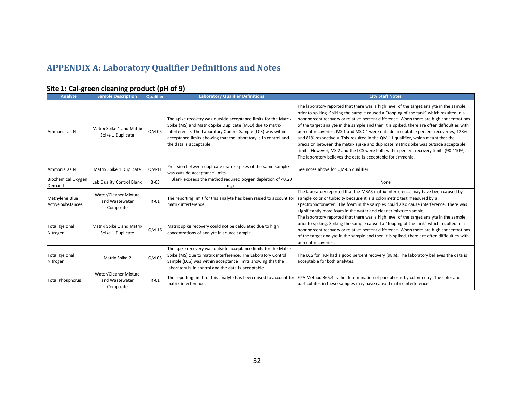# **APPENDIX A: Laboratory Qualifier Definitions and Notes**

### **Site 1: Cal-green cleaning product (pH of 9)**

<span id="page-31-0"></span>

| <b>Analyte</b>                             | <b>Sample Description</b>                            | <b>Qualifier</b> | <b>Laboratory Qualifier Definitions</b>                                                                                                                                                                                                                                                    | <b>City Staff Notes</b>                                                                                                                                                                                                                                                                                                                                                                                                                                                                                                                                                                                                                                                                                                                                                                                   |
|--------------------------------------------|------------------------------------------------------|------------------|--------------------------------------------------------------------------------------------------------------------------------------------------------------------------------------------------------------------------------------------------------------------------------------------|-----------------------------------------------------------------------------------------------------------------------------------------------------------------------------------------------------------------------------------------------------------------------------------------------------------------------------------------------------------------------------------------------------------------------------------------------------------------------------------------------------------------------------------------------------------------------------------------------------------------------------------------------------------------------------------------------------------------------------------------------------------------------------------------------------------|
| Ammonia as N                               | Matrix Spike 1 and Matrix<br>Spike 1 Duplicate       | QM-05            | The spike recovery was outside acceptance limits for the Matrix<br>Spike (MS) and Matrix Spike Duplicate (MSD) due to matrix<br>interference. The Laboratory Control Sample (LCS) was within<br>acceptance limits showing that the laboratory is in control and<br>the data is acceptable. | The laboratory reported that there was a high level of the target analyte in the sample<br>prior to spiking. Spiking the sample caused a "topping of the tank" which resulted in a<br>poor percent recovery or relative percent difference. When there are high concentrations<br>of the target analyte in the sample and then it is spiked, there are often difficulties with<br>percent recoveries. MS 1 and MSD 1 were outside acceptable percent recoveries, 128%<br>and 81% respectively. This resulted in the QM-11 qualifier, which meant that the<br>precision between the matrix spike and duplicate matrix spike was outside acceptable<br>limits. However, MS 2 and the LCS were both within percent recovery limits (90-110%).<br>The laboratory believes the data is acceptable for ammonia. |
| Ammonia as N                               | Matrix Spike 1 Duplicate                             | QM-11            | Precision between duplicate matrix spikes of the same sample<br>was outside acceptance limits.                                                                                                                                                                                             | See notes above for QM-05 qualifier.                                                                                                                                                                                                                                                                                                                                                                                                                                                                                                                                                                                                                                                                                                                                                                      |
| <b>Biochemical Oxygen</b><br>Demand        | Lab Quality Control Blank                            | $B-03$           | Blank exceeds the method required oxygen depletion of <0.20<br>mg/L                                                                                                                                                                                                                        | None                                                                                                                                                                                                                                                                                                                                                                                                                                                                                                                                                                                                                                                                                                                                                                                                      |
| Methylene Blue<br><b>Active Substances</b> | Water/Cleaner Mixture<br>and Wastewater<br>Composite | $R-01$           | The reporting limit for this analyte has been raised to account for<br>matrix interference.                                                                                                                                                                                                | The laboratory reported that the MBAS matrix interference may have been caused by<br>sample color or turbidity because it is a colorimetric test measured by a<br>spectrophotometer. The foam in the samples could also cause interference. There was<br>significantly more foam in the water and cleaner mixture sample.                                                                                                                                                                                                                                                                                                                                                                                                                                                                                 |
| <b>Total Kjeldhal</b><br>Nitrogen          | Matrix Spike 1 and Matrix<br>Spike 1 Duplicate       | QM-16            | Matrix spike recovery could not be calculated due to high<br>concentrations of analyte in source sample.                                                                                                                                                                                   | The laboratory reported that there was a high level of the target analyte in the sample<br>prior to spiking. Spiking the sample caused a "topping of the tank" which resulted in a<br>poor percent recovery or relative percent difference. When there are high concentrations<br>of the target analyte in the sample and then it is spiked, there are often difficulties with<br>percent recoveries.                                                                                                                                                                                                                                                                                                                                                                                                     |
| <b>Total Kieldhal</b><br>Nitrogen          | Matrix Spike 2                                       | QM-05            | The spike recovery was outside acceptance limits for the Matrix<br>Spike (MS) due to matrix interference. The Laboratory Control<br>Sample (LCS) was within acceptance limits showing that the<br>laboratory is in control and the data is acceptable.                                     | The LCS for TKN had a good percent recovery (98%). The laboratory believes the data is<br>acceptable for both analytes.                                                                                                                                                                                                                                                                                                                                                                                                                                                                                                                                                                                                                                                                                   |
| <b>Total Phosphorus</b>                    | Water/Cleaner Mixture<br>and Wastewater<br>Composite | $R-01$           | matrix interference.                                                                                                                                                                                                                                                                       | The reporting limit for this analyte has been raised to account for EPA Method 365.4 is the determination of phosphorus by colorimetry. The color and<br>particulates in these samples may have caused matrix interference.                                                                                                                                                                                                                                                                                                                                                                                                                                                                                                                                                                               |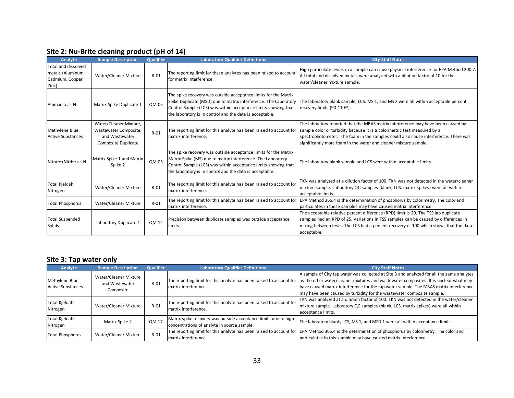### **Site 2: Nu-Brite cleaning product (pH of 14)**

| Analyte                                                               | <b>Sample Description</b>                                                                | <b>Qualifier</b> | <b>Laboratory Qualifier Definitions</b>                                                                                                                                                                                                                           | <b>City Staff Notes</b>                                                                                                                                                                                                                                                                                                   |
|-----------------------------------------------------------------------|------------------------------------------------------------------------------------------|------------------|-------------------------------------------------------------------------------------------------------------------------------------------------------------------------------------------------------------------------------------------------------------------|---------------------------------------------------------------------------------------------------------------------------------------------------------------------------------------------------------------------------------------------------------------------------------------------------------------------------|
| Total and dissolved<br>metals (Aluminum,<br>Cadmium, Copper,<br>Zinc) | Water/Cleaner Mixture                                                                    | $R - 01$         | The reporting limit for these analytes has been raised to account<br>for matrix interference.                                                                                                                                                                     | High particulate levels in a sample can cause physical interference for EPA Method 200.7.<br>All total and dissolved metals were analyzed with a dilution factor of 10 for the<br>water/cleaner mixture sample.                                                                                                           |
| Ammonia as N                                                          | Matrix Spike Duplicate 1                                                                 | QM-05            | The spike recovery was outside acceptance limits for the Matrix<br>Spike Duplicate (MSD) due to matrix interference. The Laboratory<br>Control Sample (LCS) was within acceptance limits showing that<br>the laboratory is in control and the data is acceptable. | The laboratory blank sample, LCS, MS 1, and MS 2 were all within acceptable percent<br>recovery limits (90-110%).                                                                                                                                                                                                         |
| Methylene Blue<br><b>Active Substances</b>                            | Water/Cleaner Mixture,<br>Wastewater Composite,<br>and Wastewater<br>Composite Duplicate | $R-01$           | The reporting limit for this analyte has been raised to account for<br>matrix interference.                                                                                                                                                                       | The laboratory reported that the MBAS matrix interference may have been caused by<br>sample color or turbidity because it is a colorimetric test measured by a<br>spectrophotometer. The foam in the samples could also cause interference. There was<br>significantly more foam in the water and cleaner mixture sample. |
| Nitrate+Nitrite as N                                                  | Matrix Spike 1 and Matrix<br>Spike 2                                                     | QM-05            | The spike recovery was outside acceptance limits for the Matrix<br>Matrix Spike (MS) due to matrix interference. The Laboratory<br>Control Sample (LCS) was within acceptance limits showing that<br>the laboratory is in control and the data is acceptable.     | The laboratory blank sample and LCS were within acceptable limits.                                                                                                                                                                                                                                                        |
| <b>Total Kjeldahl</b><br>Nitrogen                                     | Water/Cleaner Mixture                                                                    | $R - 01$         | The reporting limit for this analyte has been raised to account for<br>matrix interference.                                                                                                                                                                       | TKN was analyzed at a dilution factor of 100. TKN was not detected in the water/cleaner<br>mixture sample. Laboratory QC samples (blank, LCS, matrix spikes) were all within<br>acceptable limits.                                                                                                                        |
| <b>Total Phosphorus</b>                                               | Water/Cleaner Mixture                                                                    | $R-01$           | The reporting limit for this analyte has been raised to account for<br>matrix interference.                                                                                                                                                                       | EPA Method 365.4 is the determination of phosphorus by colorimetry. The color and<br>particulates in these samples may have caused matrix interference.                                                                                                                                                                   |
| <b>Total Suspended</b><br>Solids                                      | Laboratory Duplicate 1                                                                   | QM-12            | Precision between duplicate samples was outside acceptance<br>limits.                                                                                                                                                                                             | The acceptable relative percent difference (RPD) limit is 20. The TSS lab duplicate<br>samples had an RPD of 25. Variations in TSS samples can be caused by differences in<br>mixing between tests. The LCS had a percent recovery of 100 which shows that the data is<br>acceptable.                                     |

### **Site 3: Tap water only**

| Analyte                  | <b>Sample Description</b> | <b>Qualifier</b> | <b>Laboratory Qualifier Definitions</b>                             | <b>City Staff Notes</b>                                                                                                                                   |
|--------------------------|---------------------------|------------------|---------------------------------------------------------------------|-----------------------------------------------------------------------------------------------------------------------------------------------------------|
|                          | Water/Cleaner Mixture     |                  |                                                                     | A sample of City tap water was collected at Site 3 and analyzed for all the same analytes                                                                 |
| Methylene Blue           | and Wastewater            | $R-O1$           |                                                                     | The reporting limit for this analyte has been raised to account for as the other water/cleaner mixtures and wastewater composites. It is unclear what may |
| <b>Active Substances</b> | Composite                 |                  | matrix interference.                                                | have caused matrix interference for the tap water sample. The MBAS matrix interference                                                                    |
|                          |                           |                  |                                                                     | may have been caused by turbidity for the wastewater composite sample.                                                                                    |
| Total Kjeldahl           |                           |                  | The reporting limit for this analyte has been raised to account for | TKN was analyzed at a dilution factor of 100. TKN was not detected in the water/cleaner                                                                   |
|                          | Water/Cleaner Mixture     | $R-01$           | matrix interference.                                                | mixture sample. Laboratory QC samples (blank, LCS, matrix spikes) were all within                                                                         |
| Nitrogen                 |                           |                  |                                                                     | acceptance limits.                                                                                                                                        |
| Total Kjeldahl           | Matrix Spike 2            | $QM-17$          | Matrix spike recovery was outside acceptance limits due to high     | The laboratory blank, LCS, MS 1, and MSD 1 were all within acceptance limits                                                                              |
| Nitrogen                 |                           |                  | concentrations of analyte in source sample.                         |                                                                                                                                                           |
|                          |                           |                  |                                                                     | The reporting limit for this analyte has been raised to account for EPA Method 365.4 is the determination of phosphorus by colorimetry. The color and     |
| <b>Total Phosphorus</b>  | Water/Cleaner Mixture     | $R-01$           | matrix interference.                                                | particulates in this sample may have caused matrix interference.                                                                                          |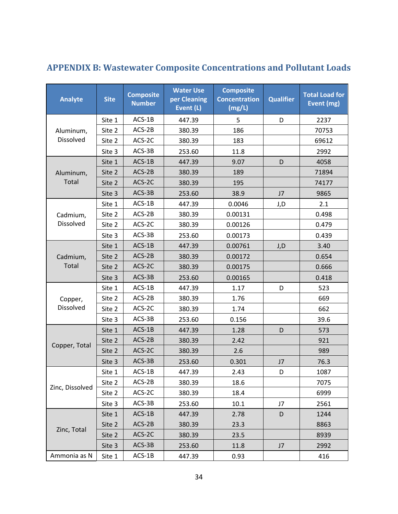| <b>Analyte</b>         | <b>Site</b> | <b>Composite</b><br><b>Number</b> | <b>Water Use</b><br>per Cleaning<br>Event (L) | <b>Composite</b><br><b>Concentration</b><br>(mg/L) | <b>Qualifier</b> | <b>Total Load for</b><br>Event (mg) |
|------------------------|-------------|-----------------------------------|-----------------------------------------------|----------------------------------------------------|------------------|-------------------------------------|
| Aluminum,<br>Dissolved | Site 1      | $ACS-1B$                          | 447.39                                        | 5                                                  | D                | 2237                                |
|                        | Site 2      | $ACS-2B$                          | 380.39                                        | 186                                                |                  | 70753                               |
|                        | Site 2      | ACS-2C                            | 380.39                                        | 183                                                |                  | 69612                               |
|                        | Site 3      | ACS-3B                            | 253.60                                        | 11.8                                               |                  | 2992                                |
|                        | Site 1      | ACS-1B                            | 447.39                                        | 9.07                                               | D                | 4058                                |
| Aluminum,              | Site 2      | ACS-2B                            | 380.39                                        | 189                                                |                  | 71894                               |
| Total                  | Site 2      | ACS-2C                            | 380.39                                        | 195                                                |                  | 74177                               |
|                        | Site 3      | ACS-3B                            | 253.60                                        | 38.9                                               | J7               | 9865                                |
|                        | Site 1      | $ACS-1B$                          | 447.39                                        | 0.0046                                             | J,D              | 2.1                                 |
| Cadmium,               | Site 2      | ACS-2B                            | 380.39                                        | 0.00131                                            |                  | 0.498                               |
| Dissolved              | Site 2      | ACS-2C                            | 380.39                                        | 0.00126                                            |                  | 0.479                               |
|                        | Site 3      | ACS-3B                            | 253.60                                        | 0.00173                                            |                  | 0.439                               |
|                        | Site 1      | $ACS-1B$                          | 447.39                                        | 0.00761                                            | J, D             | 3.40                                |
| Cadmium,               | Site 2      | ACS-2B                            | 380.39                                        | 0.00172                                            |                  | 0.654                               |
| Total                  | Site 2      | ACS-2C                            | 380.39                                        | 0.00175                                            |                  | 0.666                               |
|                        | Site 3      | ACS-3B                            | 253.60                                        | 0.00165                                            |                  | 0.418                               |
|                        | Site 1      | $ACS-1B$                          | 447.39                                        | 1.17                                               | D                | 523                                 |
| Copper,                | Site 2      | ACS-2B                            | 380.39                                        | 1.76                                               |                  | 669                                 |
| Dissolved              | Site 2      | ACS-2C                            | 380.39                                        | 1.74                                               |                  | 662                                 |
|                        | Site 3      | $ACS-3B$                          | 253.60                                        | 0.156                                              |                  | 39.6                                |
|                        | Site 1      | $ACS-1B$                          | 447.39                                        | 1.28                                               | D                | 573                                 |
|                        | Site 2      | ACS-2B                            | 380.39                                        | 2.42                                               |                  | 921                                 |
| Copper, Total          | Site 2      | ACS-2C                            | 380.39                                        | 2.6                                                |                  | 989                                 |
|                        | Site 3      | ACS-3B                            | 253.60                                        | 0.301                                              | J7               | 76.3                                |
|                        | Site 1      | $ACS-1B$                          | 447.39                                        | 2.43                                               | D                | 1087                                |
|                        | Site 2      | $ACS-2B$                          | 380.39                                        | 18.6                                               |                  | 7075                                |
| Zinc, Dissolved        | Site 2      | ACS-2C                            | 380.39                                        | 18.4                                               |                  | 6999                                |
|                        | Site 3      | $ACS-3B$                          | 253.60                                        | 10.1                                               | J7               | 2561                                |
|                        | Site 1      | $ACS-1B$                          | 447.39                                        | 2.78                                               | D                | 1244                                |
|                        | Site 2      | $ACS-2B$                          | 380.39                                        | 23.3                                               |                  | 8863                                |
| Zinc, Total            | Site 2      | ACS-2C                            | 380.39                                        | 23.5                                               |                  | 8939                                |
|                        | Site 3      | $ACS-3B$                          | 253.60                                        | 11.8                                               | J7               | 2992                                |
| Ammonia as N           | Site 1      | $ACS-1B$                          | 447.39                                        | 0.93                                               |                  | 416                                 |

# <span id="page-33-0"></span>**APPENDIX B: Wastewater Composite Concentrations and Pollutant Loads**